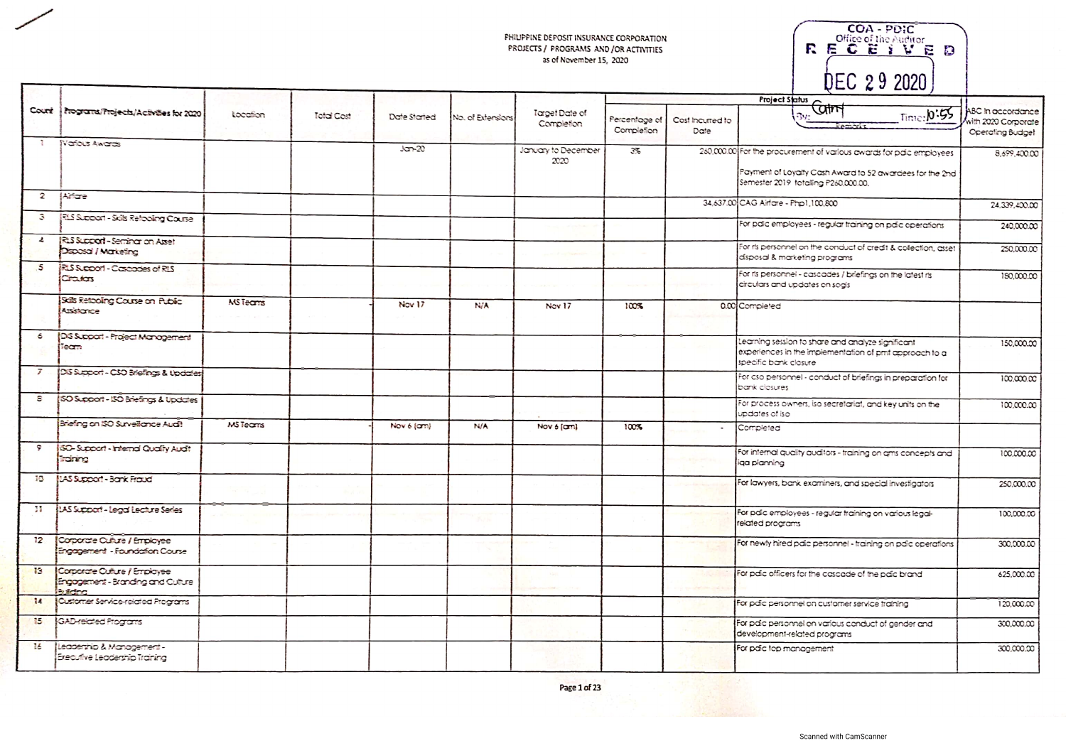| COA - PDIC<br>Office of the Auditor |  |
|-------------------------------------|--|
| E.                                  |  |
|                                     |  |
| DEC 29 2020                         |  |

|                 | Count   http://tojects/Activities.for.2020                                        | Location        | Total Cost | Date Started | No. of Extensions | Target Date of<br>Completion | Percentage of<br>Completion | Cost Incurred to<br>Date | Project Status<br>Control<br>Time: 0:55                                                                                              | ABC In accordance<br>with 2020 Corporate<br>Operating Budget |
|-----------------|-----------------------------------------------------------------------------------|-----------------|------------|--------------|-------------------|------------------------------|-----------------------------|--------------------------|--------------------------------------------------------------------------------------------------------------------------------------|--------------------------------------------------------------|
| Ţ               | Natious Awards                                                                    |                 |            | $J$ crn-20   |                   | January to December<br>2020  | $3\%$                       |                          | 260,000.00 For the procurement of various awards for pdic employees<br>Payment of Loyalty Cash Award to 52 awardees for the 2nd      | 8.699.400.00                                                 |
| $\mathbf{z}$    | <b>Mindre</b>                                                                     |                 |            |              |                   |                              |                             |                          | Semester 2019 totalling P260,000.00.<br>34,637.00 CAG Airfare - Php1,100.800                                                         | 24.339,400.00                                                |
| З               | RLS Support - Sails Retogling Course                                              |                 |            |              |                   |                              |                             |                          | For paic employees - regular training on paic operations                                                                             | 240,000.00                                                   |
| $\mathbf{r}$    | RLS Support - Seminar on Asset<br>Disposal / Marketing                            |                 |            |              |                   |                              |                             |                          | For its personnel on the conduct of credit & colection, asset<br>disposal & marketing programs                                       | 250,000.00                                                   |
| 5               | RUS Support - Cascades of R1S<br>Crasters                                         |                 |            |              |                   |                              |                             |                          | For its personnel - cascades / briefings on the latest ris<br>circulars and updates on sogis                                         | 180,000.00                                                   |
|                 | Sals Retooling Course on Public<br>Attistance                                     | <b>MS</b> Teams |            | Nov 17       | <b>Pier</b>       | Nov 17                       | 100%                        |                          | 0.00 Completed                                                                                                                       |                                                              |
| 6               | DS Support - Project Management<br>Team                                           |                 |            |              |                   |                              |                             |                          | Learning session to share and analyze significant<br>experiences in the implementation of pmt approach to a<br>specific bank closure | 150,000.00                                                   |
| 7               | DIS Support - CSO Briefings & Updates                                             |                 |            |              |                   |                              |                             |                          | For cso personnel - conduct of briefings in preparation for<br>bank closures                                                         | 100,000.00                                                   |
| 8               | (SO Support - ISO Briefings & Updates                                             |                 |            |              |                   |                              |                             |                          | For process owners, iso secretariat, and key units on the<br>updates of iso                                                          | 100,000.00                                                   |
|                 | Briefing on ISO Surveillance Audit                                                | MSTeams         |            | Nov 6 (am)   | <b>N/A</b>        | Nov 6 (am)                   | 100%                        | $\overline{a}$           | Completed                                                                                                                            |                                                              |
| 9.              | (50-Support - Internal Quality Audit<br><b>FOR TO</b>                             |                 |            |              |                   |                              |                             |                          | For internal quality auditors - training on ams concepts and<br>liga planning                                                        | 100,000.00                                                   |
| 科技              | <b>ILAS Support - Bank Fraud</b>                                                  |                 |            |              |                   |                              |                             |                          | For lawyers, bank examiners, and special investigators                                                                               | 250,000.00                                                   |
| 31              | <b>ILAS Support - Legal Leature Series</b>                                        |                 |            |              |                   |                              |                             |                          | For palc employees - regular training on various legal-<br>related programs                                                          | 100,000.00                                                   |
| 12 <sup>2</sup> | Corporate Culture / Employee<br>Engagement - Foundation Course                    |                 |            |              |                   |                              |                             |                          | For newly hired paic personnel - training on paic operations                                                                         | 300,000.00                                                   |
| 13              | Corporate Culture / Employee<br>Engagement - Branding and Culture<br>Postelle ver |                 |            |              |                   |                              |                             |                          | For paic officers for the cascade of the paic brand                                                                                  | 625,000.00                                                   |
| 14              | Customer Service-related Programs                                                 |                 |            |              |                   |                              |                             |                          | For pdic personnel on customer service training                                                                                      | 120,000.00                                                   |
| $\mathbf{L}$    | GAD-related Programs                                                              |                 |            |              |                   |                              |                             |                          | For paic personnel on various conduct of gender and<br>development-related programs                                                  | 300,000.00                                                   |
| $16 -$          | Leadenhip & Management -<br>Executive Leadership Training                         |                 |            |              |                   |                              |                             |                          | For pdic top management                                                                                                              | 300,000.00                                                   |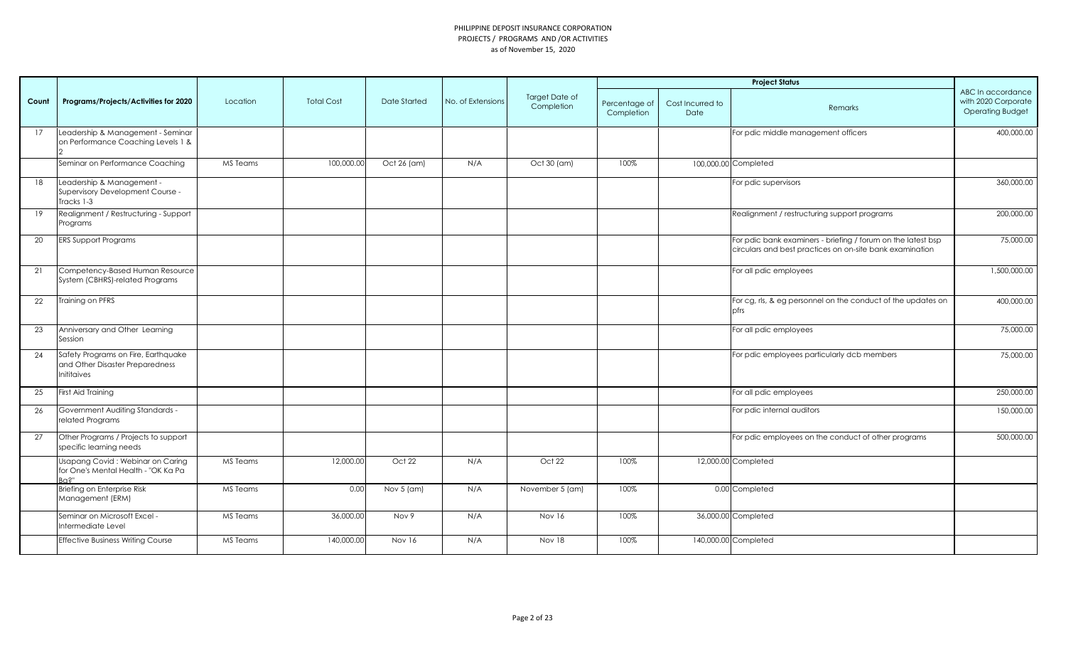|       |                                                                                       |          |                   |               |                   |                                     |                             |                          | <b>Project Status</b>                                                                                                    |                                                                     |
|-------|---------------------------------------------------------------------------------------|----------|-------------------|---------------|-------------------|-------------------------------------|-----------------------------|--------------------------|--------------------------------------------------------------------------------------------------------------------------|---------------------------------------------------------------------|
| Count | Programs/Projects/Activities for 2020                                                 | Location | <b>Total Cost</b> | Date Started  | No. of Extensions | <b>Target Date of</b><br>Completion | Percentage of<br>Completion | Cost Incurred to<br>Date | Remarks                                                                                                                  | ABC In accordance<br>with 2020 Corporate<br><b>Operating Budget</b> |
| 17    | Leadership & Management - Seminar<br>on Performance Coaching Levels 1 &               |          |                   |               |                   |                                     |                             |                          | For pdic middle management officers                                                                                      | 400,000.00                                                          |
|       | Seminar on Performance Coaching                                                       | MS Teams | 100,000.00        | Oct 26 (am)   | N/A               | Oct 30 (am)                         | 100%                        |                          | 100,000.00 Completed                                                                                                     |                                                                     |
| 18    | Leadership & Management -<br>Supervisory Development Course -<br>Fracks 1-3           |          |                   |               |                   |                                     |                             |                          | For pdic supervisors                                                                                                     | 360,000.00                                                          |
| 19    | Realignment / Restructuring - Support<br>Programs                                     |          |                   |               |                   |                                     |                             |                          | Realignment / restructuring support programs                                                                             | 200,000.00                                                          |
| 20    | <b>ERS Support Programs</b>                                                           |          |                   |               |                   |                                     |                             |                          | For pdic bank examiners - briefing / forum on the latest bsp<br>circulars and best practices on on-site bank examination | 75,000.00                                                           |
| 21    | Competency-Based Human Resource<br>System (CBHRS)-related Programs                    |          |                   |               |                   |                                     |                             |                          | For all pdic employees                                                                                                   | 1,500,000.00                                                        |
| 22    | Training on PFRS                                                                      |          |                   |               |                   |                                     |                             |                          | For cg, rls, & eg personnel on the conduct of the updates on<br>pfrs                                                     | 400,000.00                                                          |
| 23    | Anniversary and Other Learning<br>Session                                             |          |                   |               |                   |                                     |                             |                          | For all pdic employees                                                                                                   | 75,000.00                                                           |
| 24    | Safety Programs on Fire, Earthquake<br>and Other Disaster Preparedness<br>Inititaives |          |                   |               |                   |                                     |                             |                          | For pdic employees particularly dcb members                                                                              | 75,000.00                                                           |
| 25    | First Aid Training                                                                    |          |                   |               |                   |                                     |                             |                          | For all pdic employees                                                                                                   | 250,000.00                                                          |
| 26    | <b>Government Auditing Standards -</b><br>related Programs                            |          |                   |               |                   |                                     |                             |                          | For pdic internal auditors                                                                                               | 150,000.00                                                          |
| 27    | Other Programs / Projects to support<br>specific learning needs                       |          |                   |               |                   |                                     |                             |                          | For pdic employees on the conduct of other programs                                                                      | 500,000.00                                                          |
|       | Usapang Covid: Webinar on Caring<br>for One's Mental Health - "OK Ka Pa<br>⊰പ?"       | MS Teams | 12,000.00         | Oct 22        | N/A               | Oct 22                              | 100%                        |                          | 12,000.00 Completed                                                                                                      |                                                                     |
|       | Briefing on Enterprise Risk<br>Management (ERM)                                       | MS Teams | 0.00              | Nov 5 (am)    | N/A               | November 5 (am)                     | 100%                        |                          | 0.00 Completed                                                                                                           |                                                                     |
|       | Seminar on Microsoft Excel -<br>Intermediate Level                                    | MS Teams | 36,000.00         | Nov 9         | N/A               | Nov 16                              | 100%                        |                          | 36,000.00 Completed                                                                                                      |                                                                     |
|       | <b>Effective Business Writing Course</b>                                              | MS Teams | 140.000.00        | <b>Nov 16</b> | N/A               | <b>Nov 18</b>                       | 100%                        |                          | 140,000.00 Completed                                                                                                     |                                                                     |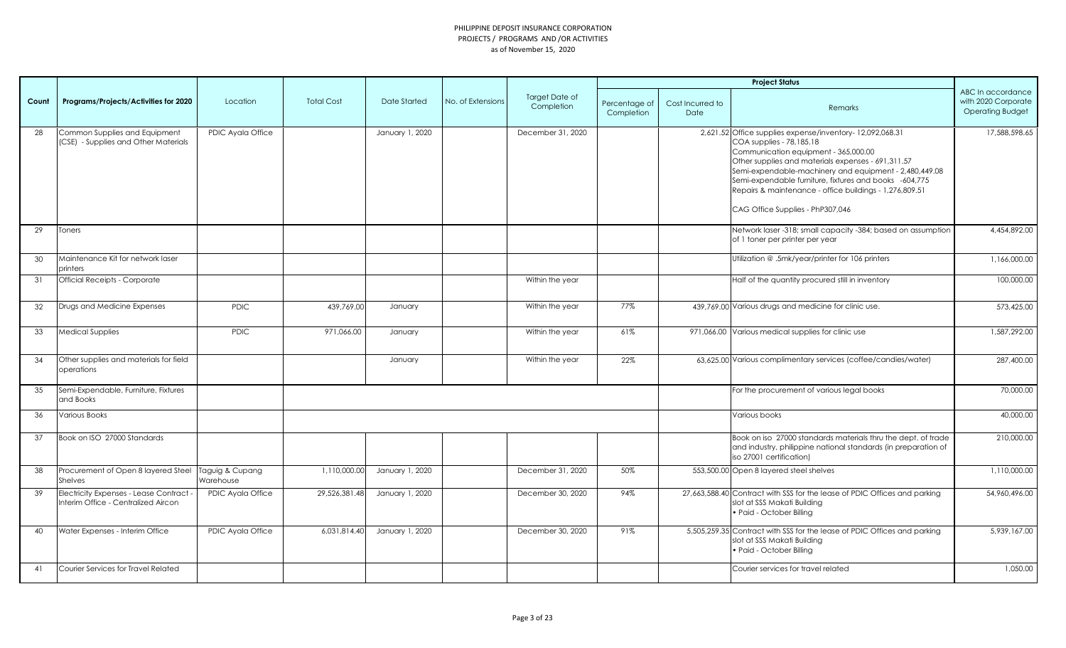|       |                                                                              |                              |                   |                 |                   |                                     |                             |                          | <b>Project Status</b>                                                                                                                                                                                                                                                                                                                                                                                 |                                                                     |
|-------|------------------------------------------------------------------------------|------------------------------|-------------------|-----------------|-------------------|-------------------------------------|-----------------------------|--------------------------|-------------------------------------------------------------------------------------------------------------------------------------------------------------------------------------------------------------------------------------------------------------------------------------------------------------------------------------------------------------------------------------------------------|---------------------------------------------------------------------|
| Count | Programs/Projects/Activities for 2020                                        | Location                     | <b>Total Cost</b> | Date Started    | No. of Extensions | <b>Target Date of</b><br>Completion | Percentage of<br>Completion | Cost Incurred to<br>Date | Remarks                                                                                                                                                                                                                                                                                                                                                                                               | ABC In accordance<br>with 2020 Corporate<br><b>Operating Budget</b> |
| 28    | Common Supplies and Equipment<br>(CSE) - Supplies and Other Materials        | PDIC Ayala Office            |                   | January 1, 2020 |                   | December 31, 2020                   |                             |                          | 2,621.52 Office supplies expense/inventory-12,092,068.31<br>COA supplies - 78,185.18<br>Communication equipment - 365,000.00<br>Other supplies and materials expenses - 691,311.57<br>Semi-expendable-machinery and equipment - 2,480,449.08<br>Semi-expendable furniture, fixtures and books -604,775<br>Repairs & maintenance - office buildings - 1,276,809.51<br>CAG Office Supplies - PhP307,046 | 17,588,598.65                                                       |
| 29    | Toners                                                                       |                              |                   |                 |                   |                                     |                             |                          | Network laser -318; small capacity -384; based on assumption<br>of 1 toner per printer per year                                                                                                                                                                                                                                                                                                       | 4,454,892.00                                                        |
| 30    | Maintenance Kit for network laser<br>printers                                |                              |                   |                 |                   |                                     |                             |                          | Utilization @.5mk/year/printer for 106 printers                                                                                                                                                                                                                                                                                                                                                       | 1,166,000.00                                                        |
| 31    | <b>Official Receipts - Corporate</b>                                         |                              |                   |                 |                   | Within the year                     |                             |                          | Half of the quantity procured still in inventory                                                                                                                                                                                                                                                                                                                                                      | 100,000.00                                                          |
| 32    | Drugs and Medicine Expenses                                                  | <b>PDIC</b>                  | 439,769.00        | January         |                   | Within the year                     | 77%                         |                          | 439,769.00 Various drugs and medicine for clinic use.                                                                                                                                                                                                                                                                                                                                                 | 573,425.00                                                          |
| 33    | <b>Medical Supplies</b>                                                      | <b>PDIC</b>                  | 971.066.00        | January         |                   | Within the year                     | 61%                         |                          | 971,066.00 Various medical supplies for clinic use                                                                                                                                                                                                                                                                                                                                                    | 1,587,292.00                                                        |
| 34    | Other supplies and materials for field<br>operations                         |                              |                   | January         |                   | Within the year                     | 22%                         |                          | 63,625.00 Various complimentary services (coffee/candies/water)                                                                                                                                                                                                                                                                                                                                       | 287,400.00                                                          |
| 35    | Semi-Expendable, Furniture, Fixtures<br>and Books                            |                              |                   |                 |                   |                                     |                             |                          | For the procurement of various legal books                                                                                                                                                                                                                                                                                                                                                            | 70,000.00                                                           |
| 36    | <b>Various Books</b>                                                         |                              |                   |                 |                   |                                     |                             |                          | Various books                                                                                                                                                                                                                                                                                                                                                                                         | 40,000.00                                                           |
| 37    | Book on ISO 27000 Standards                                                  |                              |                   |                 |                   |                                     |                             |                          | Book on iso 27000 standards materials thru the dept. of trade<br>and industry, philippine national standards (in preparation of<br>iso 27001 certification)                                                                                                                                                                                                                                           | 210,000.00                                                          |
| 38    | Procurement of Open 8 layered Steel<br><b>Shelves</b>                        | Taguig & Cupang<br>Warehouse | 1,110,000.00      | January 1, 2020 |                   | December 31, 2020                   | 50%                         |                          | 553,500.00 Open 8 layered steel shelves                                                                                                                                                                                                                                                                                                                                                               | 1,110,000.00                                                        |
| 39    | Electricity Expenses - Lease Contract<br>Interim Office - Centralized Aircon | PDIC Ayala Office            | 29,526,381.48     | January 1, 2020 |                   | December 30, 2020                   | 94%                         |                          | 27,663,588.40 Contract with SSS for the lease of PDIC Offices and parking<br>slot at SSS Makati Building<br>• Paid - October Billing                                                                                                                                                                                                                                                                  | 54,960,496.00                                                       |
| 40    | Water Expenses - Interim Office                                              | PDIC Ayala Office            | 6,031,814.40      | January 1, 2020 |                   | December 30, 2020                   | 91%                         |                          | 5,505,259.35 Contract with SSS for the lease of PDIC Offices and parking<br>slot at SSS Makati Building<br>· Paid - October Billing                                                                                                                                                                                                                                                                   | 5,939,167.00                                                        |
| 41    | Courier Services for Travel Related                                          |                              |                   |                 |                   |                                     |                             |                          | Courier services for travel related                                                                                                                                                                                                                                                                                                                                                                   | 1,050.00                                                            |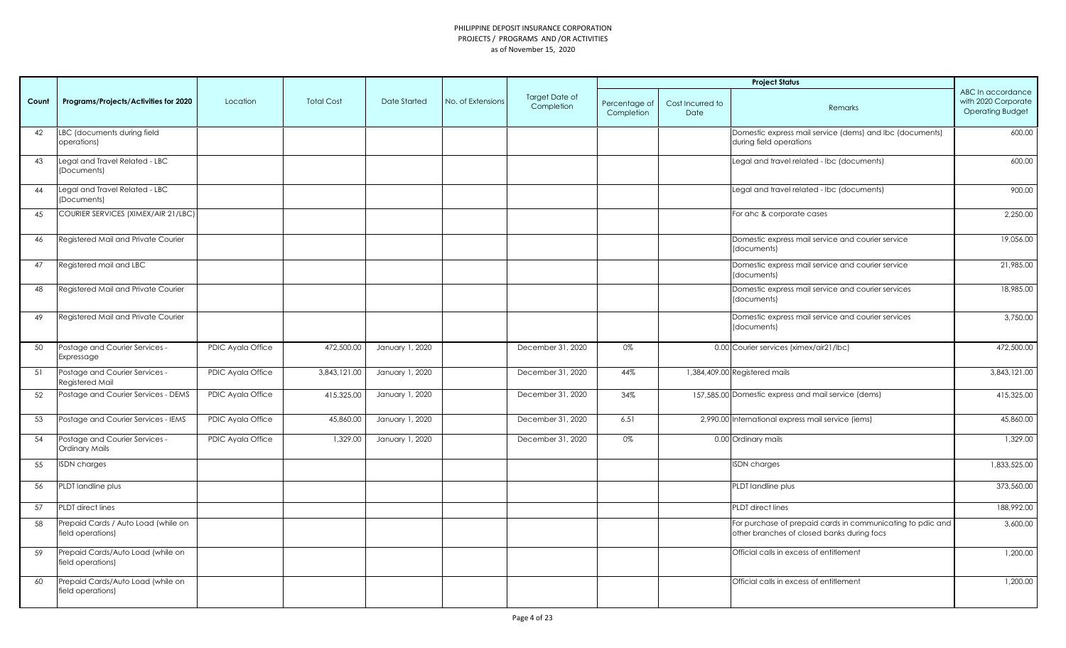|       |                                                          |                   |                   |                 |                   |                              |                             |                          | <b>Project Status</b>                                                                                    |                                                                     |
|-------|----------------------------------------------------------|-------------------|-------------------|-----------------|-------------------|------------------------------|-----------------------------|--------------------------|----------------------------------------------------------------------------------------------------------|---------------------------------------------------------------------|
| Count | Programs/Projects/Activities for 2020                    | Location          | <b>Total Cost</b> | Date Started    | No. of Extensions | Target Date of<br>Completion | Percentage of<br>Completion | Cost Incurred to<br>Date | Remarks                                                                                                  | ABC In accordance<br>with 2020 Corporate<br><b>Operating Budget</b> |
| 42    | LBC (documents during field<br>operations)               |                   |                   |                 |                   |                              |                             |                          | Domestic express mail service (dems) and lbc (documents)<br>during field operations                      | 600.00                                                              |
| 43    | Legal and Travel Related - LBC<br>(Documents)            |                   |                   |                 |                   |                              |                             |                          | Legal and travel related - Ibc (documents)                                                               | 600.00                                                              |
| 44    | Legal and Travel Related - LBC<br>(Documents)            |                   |                   |                 |                   |                              |                             |                          | Legal and travel related - Ibc (documents)                                                               | 900.00                                                              |
| 45    | COURIER SERVICES (XIMEX/AIR 21/LBC)                      |                   |                   |                 |                   |                              |                             |                          | For ahc & corporate cases                                                                                | 2,250.00                                                            |
| 46    | Registered Mail and Private Courier                      |                   |                   |                 |                   |                              |                             |                          | Domestic express mail service and courier service<br>(documents)                                         | 19,056.00                                                           |
| 47    | Registered mail and LBC                                  |                   |                   |                 |                   |                              |                             |                          | Domestic express mail service and courier service<br>(documents)                                         | 21,985.00                                                           |
| 48    | Registered Mail and Private Courier                      |                   |                   |                 |                   |                              |                             |                          | Domestic express mail service and courier services<br>(documents)                                        | 18,985.00                                                           |
| 49    | Registered Mail and Private Courier                      |                   |                   |                 |                   |                              |                             |                          | Domestic express mail service and courier services<br>(documents)                                        | 3,750.00                                                            |
| 50    | Postage and Courier Services -<br>Expressage             | PDIC Ayala Office | 472,500.00        | January 1, 2020 |                   | December 31, 2020            | 0%                          |                          | 0.00 Courier services (ximex/air21/lbc)                                                                  | 472,500.00                                                          |
| 51    | Postage and Courier Services -<br>Registered Mail        | PDIC Ayala Office | 3,843,121.00      | January 1, 2020 |                   | December 31, 2020            | 44%                         |                          | 1,384,409.00 Registered mails                                                                            | 3,843,121.00                                                        |
| 52    | Postage and Courier Services - DEMS                      | PDIC Ayala Office | 415,325.00        | January 1, 2020 |                   | December 31, 2020            | 34%                         |                          | 157,585.00 Domestic express and mail service (dems)                                                      | 415,325.00                                                          |
| 53    | Postage and Courier Services - IEMS                      | PDIC Ayala Office | 45,860.00         | January 1, 2020 |                   | December 31, 2020            | 6.51                        |                          | 2,990.00 International express mail service (iems)                                                       | 45,860.00                                                           |
| 54    | Postage and Courier Services -<br>Ordinary Mails         | PDIC Ayala Office | 1,329.00          | January 1, 2020 |                   | December 31, 2020            | 0%                          |                          | 0.00 Ordinary mails                                                                                      | 1,329.00                                                            |
| 55    | <b>ISDN</b> charges                                      |                   |                   |                 |                   |                              |                             |                          | <b>ISDN</b> charges                                                                                      | 1,833,525.00                                                        |
| 56    | PLDT landline plus                                       |                   |                   |                 |                   |                              |                             |                          | PLDT landline plus                                                                                       | 373,560.00                                                          |
| 57    | <b>PLDT</b> direct lines                                 |                   |                   |                 |                   |                              |                             |                          | PLDT direct lines                                                                                        | 188,992.00                                                          |
| 58    | Prepaid Cards / Auto Load (while on<br>field operations) |                   |                   |                 |                   |                              |                             |                          | For purchase of prepaid cards in communicating to pdic and<br>other branches of closed banks during focs | 3,600.00                                                            |
| 59    | Prepaid Cards/Auto Load (while on<br>field operations)   |                   |                   |                 |                   |                              |                             |                          | Official calls in excess of entitlement                                                                  | 1,200.00                                                            |
| 60    | Prepaid Cards/Auto Load (while on<br>field operations)   |                   |                   |                 |                   |                              |                             |                          | Official calls in excess of entitlement                                                                  | 1,200.00                                                            |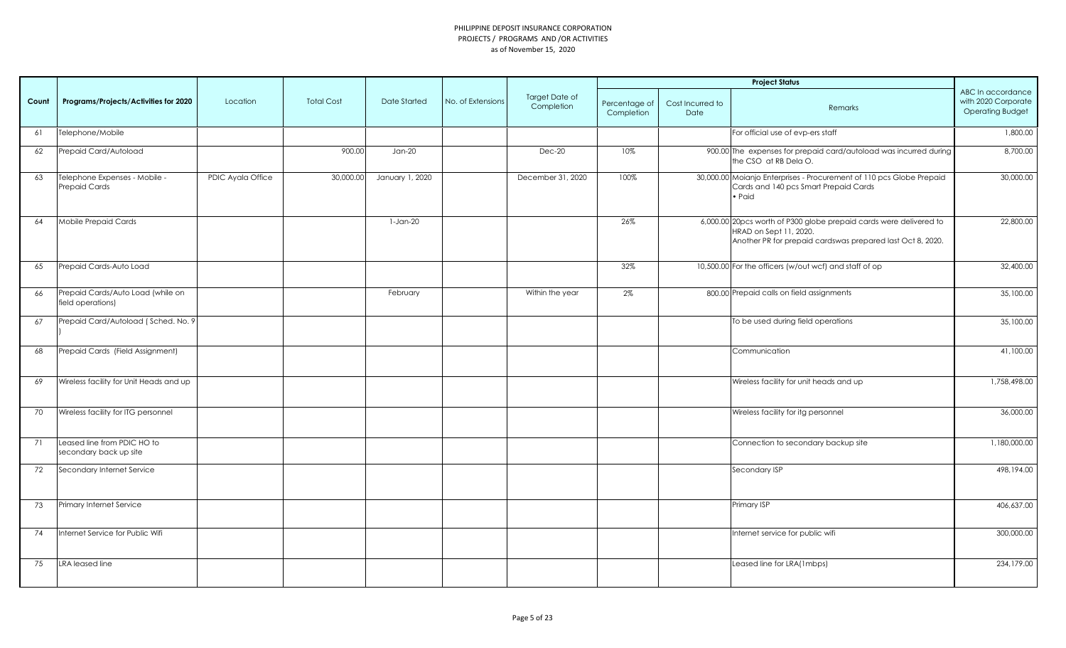|       |                                                        |                   |                   |                 |                   |                              |                             |                          | <b>Project Status</b>                                                                                                                                      |                                                                     |
|-------|--------------------------------------------------------|-------------------|-------------------|-----------------|-------------------|------------------------------|-----------------------------|--------------------------|------------------------------------------------------------------------------------------------------------------------------------------------------------|---------------------------------------------------------------------|
| Count | Programs/Projects/Activities for 2020                  | Location          | <b>Total Cost</b> | Date Started    | No. of Extensions | Target Date of<br>Completion | Percentage of<br>Completion | Cost Incurred to<br>Date | Remarks                                                                                                                                                    | ABC In accordance<br>with 2020 Corporate<br><b>Operating Budget</b> |
| 61    | Telephone/Mobile                                       |                   |                   |                 |                   |                              |                             |                          | For official use of evp-ers staff                                                                                                                          | 1,800.00                                                            |
| 62    | Prepaid Card/Autoload                                  |                   | 900.00            | $Jan-20$        |                   | $Dec-20$                     | 10%                         |                          | 900.00 The expenses for prepaid card/autoload was incurred during<br>the CSO at RB Dela O.                                                                 | 8,700.00                                                            |
| 63    | Telephone Expenses - Mobile -<br>Prepaid Cards         | PDIC Ayala Office | 30,000.00         | January 1, 2020 |                   | December 31, 2020            | 100%                        |                          | 30,000.00 Moianjo Enterprises - Procurement of 110 pcs Globe Prepaid<br>Cards and 140 pcs Smart Prepaid Cards<br>• Paid                                    | 30,000.00                                                           |
| 64    | Mobile Prepaid Cards                                   |                   |                   | $1-Jan-20$      |                   |                              | 26%                         |                          | 6,000.00 20pcs worth of P300 globe prepaid cards were delivered to<br>HRAD on Sept 11, 2020.<br>Another PR for prepaid cardswas prepared last Oct 8, 2020. | 22,800.00                                                           |
| 65    | Prepaid Cards-Auto Load                                |                   |                   |                 |                   |                              | 32%                         |                          | 10,500.00 For the officers (w/out wcf) and staff of op                                                                                                     | 32,400.00                                                           |
| 66    | Prepaid Cards/Auto Load (while on<br>field operations) |                   |                   | February        |                   | Within the year              | 2%                          |                          | 800.00 Prepaid calls on field assignments                                                                                                                  | 35,100.00                                                           |
| 67    | Prepaid Card/Autoload (Sched. No. 9)                   |                   |                   |                 |                   |                              |                             |                          | To be used during field operations                                                                                                                         | 35,100.00                                                           |
| 68    | Prepaid Cards (Field Assignment)                       |                   |                   |                 |                   |                              |                             |                          | Communication                                                                                                                                              | 41,100.00                                                           |
| 69    | Wireless facility for Unit Heads and up                |                   |                   |                 |                   |                              |                             |                          | Wireless facility for unit heads and up                                                                                                                    | 1,758,498.00                                                        |
| 70    | Wireless facility for ITG personnel                    |                   |                   |                 |                   |                              |                             |                          | Wireless facility for itg personnel                                                                                                                        | 36,000.00                                                           |
| 71    | Leased line from PDIC HO to<br>secondary back up site  |                   |                   |                 |                   |                              |                             |                          | Connection to secondary backup site                                                                                                                        | 1,180,000.00                                                        |
| 72    | Secondary Internet Service                             |                   |                   |                 |                   |                              |                             |                          | Secondary ISP                                                                                                                                              | 498,194.00                                                          |
| 73    | Primary Internet Service                               |                   |                   |                 |                   |                              |                             |                          | Primary ISP                                                                                                                                                | 406,637.00                                                          |
| 74    | Internet Service for Public Wifi                       |                   |                   |                 |                   |                              |                             |                          | Internet service for public wifi                                                                                                                           | 300,000.00                                                          |
| 75    | LRA leased line                                        |                   |                   |                 |                   |                              |                             |                          | Leased line for LRA(1mbps)                                                                                                                                 | 234,179.00                                                          |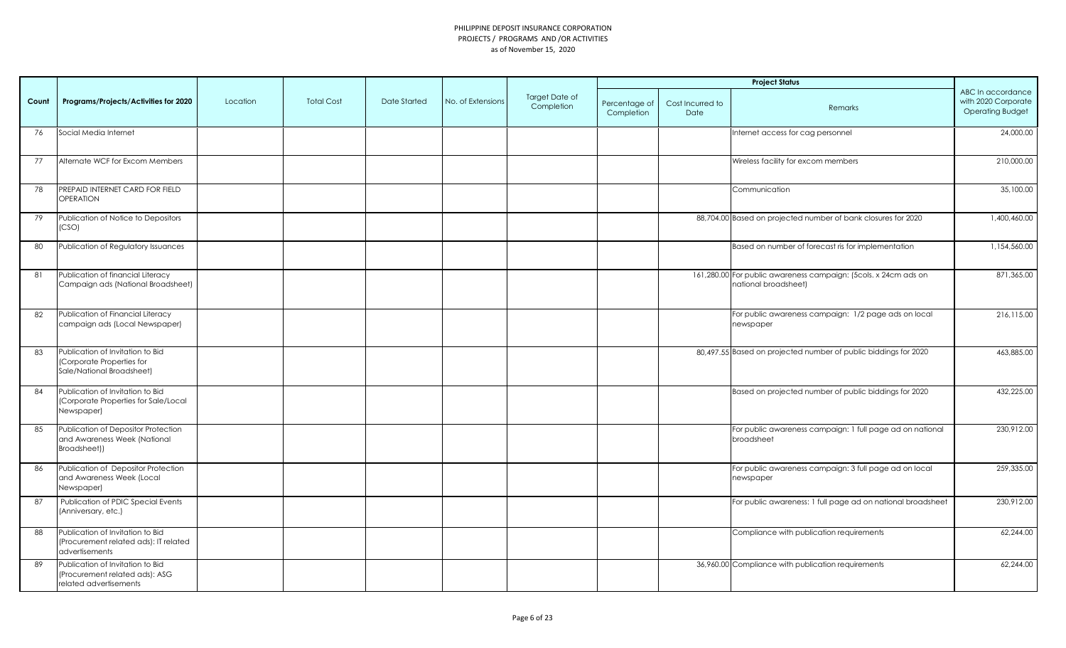|       |                                                                                              |          |                   |              |                   |                              |                             |                          | <b>Project Status</b>                                                                   |                                                                     |
|-------|----------------------------------------------------------------------------------------------|----------|-------------------|--------------|-------------------|------------------------------|-----------------------------|--------------------------|-----------------------------------------------------------------------------------------|---------------------------------------------------------------------|
| Count | Programs/Projects/Activities for 2020                                                        | Location | <b>Total Cost</b> | Date Started | No. of Extensions | Target Date of<br>Completion | Percentage of<br>Completion | Cost Incurred to<br>Date | Remarks                                                                                 | ABC In accordance<br>with 2020 Corporate<br><b>Operating Budget</b> |
| 76    | Social Media Internet                                                                        |          |                   |              |                   |                              |                             |                          | Internet access for cag personnel                                                       | 24,000.00                                                           |
| 77    | Alternate WCF for Excom Members                                                              |          |                   |              |                   |                              |                             |                          | Wireless facility for excom members                                                     | 210,000.00                                                          |
| 78    | PREPAID INTERNET CARD FOR FIELD<br>OPERATION                                                 |          |                   |              |                   |                              |                             |                          | Communication                                                                           | 35,100.00                                                           |
| 79    | Publication of Notice to Depositors<br>(CSO)                                                 |          |                   |              |                   |                              |                             |                          | 88,704.00 Based on projected number of bank closures for 2020                           | 1,400,460.00                                                        |
| 80    | Publication of Regulatory Issuances                                                          |          |                   |              |                   |                              |                             |                          | Based on number of forecast ris for implementation                                      | 1,154,560.00                                                        |
| 81    | Publication of financial Literacy<br>Campaign ads (National Broadsheet)                      |          |                   |              |                   |                              |                             |                          | 161,280.00 For public awareness campaign: (5cols. x 24cm ads on<br>national broadsheet) | 871,365.00                                                          |
| 82    | Publication of Financial Literacy<br>campaign ads (Local Newspaper)                          |          |                   |              |                   |                              |                             |                          | For public awareness campaign: 1/2 page ads on local<br>newspaper                       | 216,115.00                                                          |
| 83    | Publication of Invitation to Bid<br>(Corporate Properties for<br>Sale/National Broadsheet)   |          |                   |              |                   |                              |                             |                          | 80,497.55 Based on projected number of public biddings for 2020                         | 463,885.00                                                          |
| 84    | Publication of Invitation to Bid<br>Corporate Properties for Sale/Local<br><b>Newspaper)</b> |          |                   |              |                   |                              |                             |                          | Based on projected number of public biddings for 2020                                   | 432,225.00                                                          |
| 85    | Publication of Depositor Protection<br>and Awareness Week (National<br>Broadsheet))          |          |                   |              |                   |                              |                             |                          | For public awareness campaign: 1 full page ad on national<br>broadsheet                 | 230,912.00                                                          |
| 86    | Publication of Depositor Protection<br>and Awareness Week (Local<br>Newspaper)               |          |                   |              |                   |                              |                             |                          | For public awareness campaign: 3 full page ad on local<br>newspaper                     | 259,335.00                                                          |
| 87    | Publication of PDIC Special Events<br>(Anniversary, etc.)                                    |          |                   |              |                   |                              |                             |                          | For public awareness: 1 full page ad on national broadsheet                             | 230,912.00                                                          |
| 88    | Publication of Invitation to Bid<br>Procurement related ads): IT related<br>advertisements   |          |                   |              |                   |                              |                             |                          | Compliance with publication requirements                                                | 62,244.00                                                           |
| 89    | Publication of Invitation to Bid<br>Procurement related ads): ASG<br>related advertisements  |          |                   |              |                   |                              |                             |                          | 36,960.00 Compliance with publication requirements                                      | 62,244.00                                                           |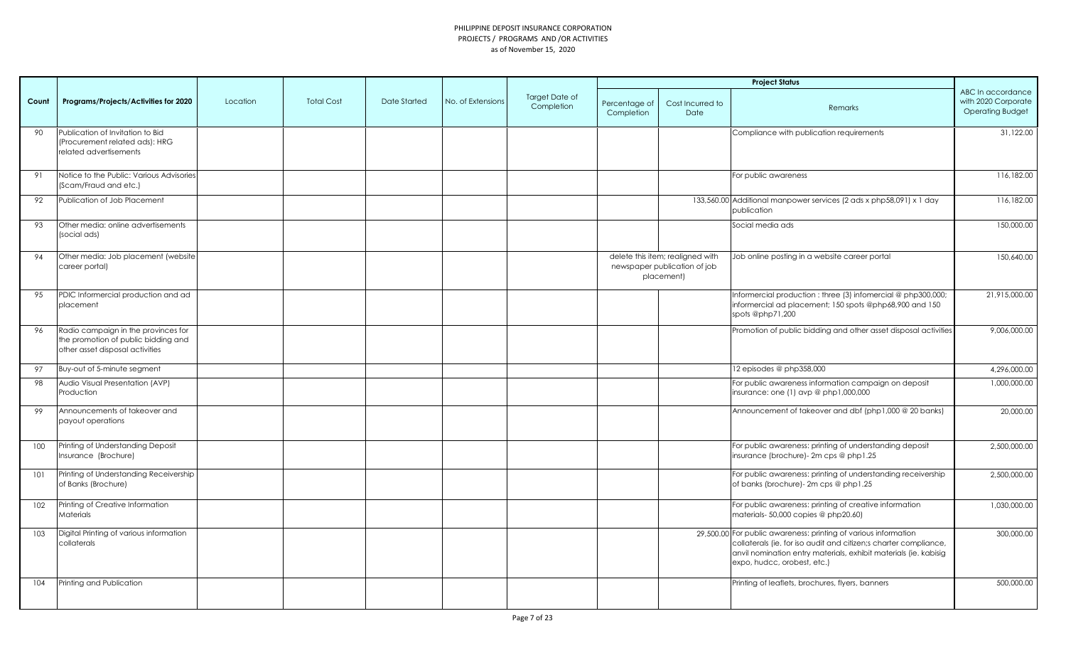|       |                                                                                                               |          |                   |              |                   |                              |                             |                                                                                | <b>Project Status</b>                                                                                                                                                                                                                  |                                                                     |
|-------|---------------------------------------------------------------------------------------------------------------|----------|-------------------|--------------|-------------------|------------------------------|-----------------------------|--------------------------------------------------------------------------------|----------------------------------------------------------------------------------------------------------------------------------------------------------------------------------------------------------------------------------------|---------------------------------------------------------------------|
| Count | Programs/Projects/Activities for 2020                                                                         | Location | <b>Total Cost</b> | Date Started | No. of Extensions | Target Date of<br>Completion | Percentage of<br>Completion | Cost Incurred to<br>Date                                                       | Remarks                                                                                                                                                                                                                                | ABC In accordance<br>with 2020 Corporate<br><b>Operating Budget</b> |
| 90    | Publication of Invitation to Bid<br>(Procurement related ads): HRG<br>related advertisements                  |          |                   |              |                   |                              |                             |                                                                                | Compliance with publication requirements                                                                                                                                                                                               | 31,122.00                                                           |
| 91    | Notice to the Public: Various Advisories<br>(Scam/Fraud and etc.)                                             |          |                   |              |                   |                              |                             |                                                                                | For public awareness                                                                                                                                                                                                                   | 116,182.00                                                          |
| 92    | Publication of Job Placement                                                                                  |          |                   |              |                   |                              |                             |                                                                                | 133,560.00 Additional manpower services (2 ads x php58,091) x 1 day<br>publication                                                                                                                                                     | 116,182.00                                                          |
| 93    | Other media: online advertisements<br>(social ads)                                                            |          |                   |              |                   |                              |                             |                                                                                | Social media ads                                                                                                                                                                                                                       | 150,000.00                                                          |
| 94    | Other media: Job placement (website<br>career portal)                                                         |          |                   |              |                   |                              |                             | delete this item; realigned with<br>newspaper publication of job<br>placement) | Job online posting in a website career portal                                                                                                                                                                                          | 150,640.00                                                          |
| 95    | PDIC Informercial production and ad<br>placement                                                              |          |                   |              |                   |                              |                             |                                                                                | Informercial production : three (3) infomercial @ php300,000;<br>informercial ad placement; 150 spots @php68,900 and 150<br>spots @php71,200                                                                                           | 21,915,000.00                                                       |
| 96    | Radio campaign in the provinces for<br>the promotion of public bidding and<br>other asset disposal activities |          |                   |              |                   |                              |                             |                                                                                | Promotion of public bidding and other asset disposal activities                                                                                                                                                                        | 9,006,000.00                                                        |
| 97    | Buy-out of 5-minute segment                                                                                   |          |                   |              |                   |                              |                             |                                                                                | 12 episodes @ php358,000                                                                                                                                                                                                               | 4,296,000.00                                                        |
| 98    | Audio Visual Presentation (AVP)<br>Production                                                                 |          |                   |              |                   |                              |                             |                                                                                | For public awareness information campaign on deposit<br>insurance: one (1) avp @ php1,000,000                                                                                                                                          | 1,000,000.00                                                        |
| 99    | Announcements of takeover and<br>payout operations                                                            |          |                   |              |                   |                              |                             |                                                                                | Announcement of takeover and dbf (php1,000 @ 20 banks)                                                                                                                                                                                 | 20,000.00                                                           |
| 100   | Printing of Understanding Deposit<br>Insurance (Brochure)                                                     |          |                   |              |                   |                              |                             |                                                                                | For public awareness: printing of understanding deposit<br>insurance (brochure)- 2m cps @ php1.25                                                                                                                                      | 2,500,000.00                                                        |
| 101   | Printing of Understanding Receivership<br>of Banks (Brochure)                                                 |          |                   |              |                   |                              |                             |                                                                                | For public awareness: printing of understanding receivership<br>of banks (brochure)- 2m cps @ php1.25                                                                                                                                  | 2,500,000.00                                                        |
| 102   | Printing of Creative Information<br>Materials                                                                 |          |                   |              |                   |                              |                             |                                                                                | For public awareness: printing of creative information<br>materials-50,000 copies @ php20.60)                                                                                                                                          | 1,030,000.00                                                        |
| 103   | Digital Printing of various information<br>collaterals                                                        |          |                   |              |                   |                              |                             |                                                                                | 29,500.00 For public awareness: printing of various information<br>collaterals (ie. for iso audit and citizen;s charter compliance,<br>anvil nomination entry materials, exhibit materials (ie. kabisig<br>expo, hudcc, orobest, etc.) | 300,000.00                                                          |
| 104   | Printing and Publication                                                                                      |          |                   |              |                   |                              |                             |                                                                                | Printing of leaflets, brochures, flyers, banners                                                                                                                                                                                       | 500,000.00                                                          |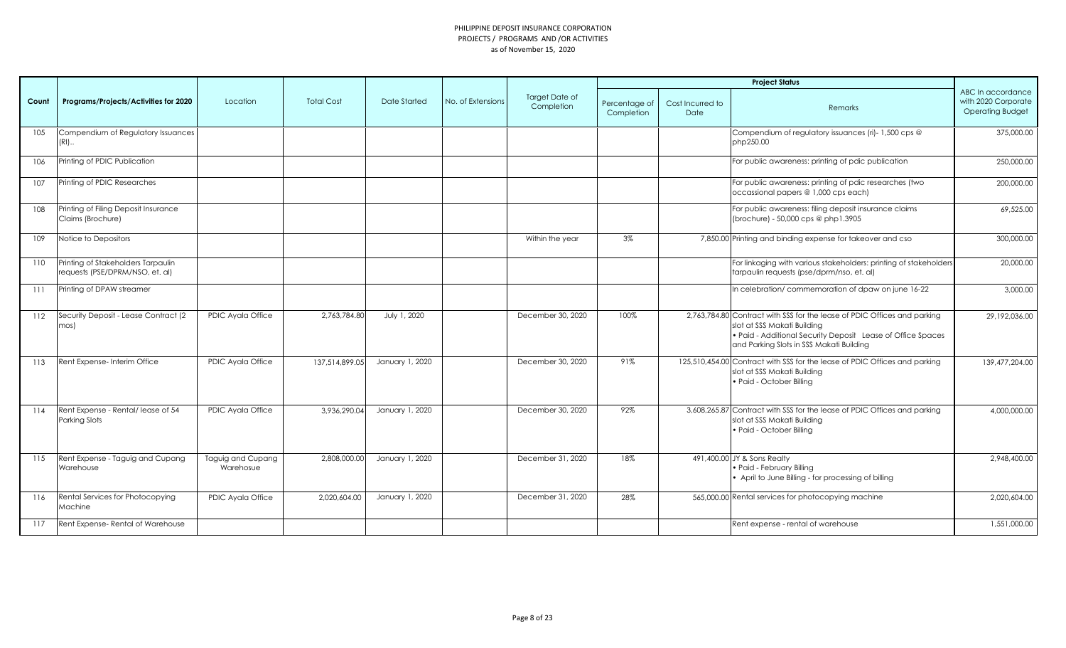|       |                                                                       |                                |                   |                 |                   |                                     |                             |                          | <b>Project Status</b>                                                                                                                                                                                              |                                                                     |
|-------|-----------------------------------------------------------------------|--------------------------------|-------------------|-----------------|-------------------|-------------------------------------|-----------------------------|--------------------------|--------------------------------------------------------------------------------------------------------------------------------------------------------------------------------------------------------------------|---------------------------------------------------------------------|
| Count | Programs/Projects/Activities for 2020                                 | Location                       | <b>Total Cost</b> | Date Started    | No. of Extensions | <b>Target Date of</b><br>Completion | Percentage of<br>Completion | Cost Incurred to<br>Date | Remarks                                                                                                                                                                                                            | ABC In accordance<br>with 2020 Corporate<br><b>Operating Budget</b> |
| 105   | Compendium of Regulatory Issuances<br>$(RI)$                          |                                |                   |                 |                   |                                     |                             |                          | Compendium of regulatory issuances (ri)- 1,500 cps @<br>php250.00                                                                                                                                                  | 375,000.00                                                          |
| 106   | Printing of PDIC Publication                                          |                                |                   |                 |                   |                                     |                             |                          | For public awareness: printing of pdic publication                                                                                                                                                                 | 250,000.00                                                          |
| 107   | Printing of PDIC Researches                                           |                                |                   |                 |                   |                                     |                             |                          | For public awareness: printing of pdic researches (two<br>occassional papers @ 1,000 cps each)                                                                                                                     | 200,000.00                                                          |
| 108   | Printing of Filing Deposit Insurance<br>Claims (Brochure)             |                                |                   |                 |                   |                                     |                             |                          | For public awareness: filing deposit insurance claims<br>(brochure) - 50,000 cps @ php1.3905                                                                                                                       | 69,525.00                                                           |
| 109   | Notice to Depositors                                                  |                                |                   |                 |                   | Within the year                     | 3%                          |                          | 7,850.00 Printing and binding expense for takeover and cso                                                                                                                                                         | 300,000.00                                                          |
| 110   | Printing of Stakeholders Tarpaulin<br>requests (PSE/DPRM/NSO, et. al) |                                |                   |                 |                   |                                     |                             |                          | For linkaging with various stakeholders: printing of stakeholders<br>tarpaulin requests (pse/dprm/nso, et. al)                                                                                                     | 20,000.00                                                           |
| 111   | Printing of DPAW streamer                                             |                                |                   |                 |                   |                                     |                             |                          | In celebration/ commemoration of dpaw on june 16-22                                                                                                                                                                | 3,000.00                                                            |
| 112   | Security Deposit - Lease Contract (2<br>mos)                          | PDIC Ayala Office              | 2,763,784.80      | July 1, 2020    |                   | December 30, 2020                   | 100%                        |                          | 2,763,784.80 Contract with SSS for the lease of PDIC Offices and parking<br>slot at SSS Makati Building<br>• Paid - Additional Security Deposit Lease of Office Spaces<br>and Parking Slots in SSS Makati Building | 29,192,036.00                                                       |
| 113   | Rent Expense- Interim Office                                          | PDIC Ayala Office              | 137,514,899.05    | January 1, 2020 |                   | December 30, 2020                   | 91%                         |                          | 125,510,454.00 Contract with SSS for the lease of PDIC Offices and parking<br>slot at SSS Makati Building<br>· Paid - October Billing                                                                              | 139,477,204.00                                                      |
| 114   | Rent Expense - Rental/ lease of 54<br>Parking Slots                   | PDIC Ayala Office              | 3,936,290.04      | January 1, 2020 |                   | December 30, 2020                   | 92%                         |                          | 3,608,265.87 Contract with SSS for the lease of PDIC Offices and parking<br>slot at SSS Makati Building<br>• Paid - October Billing                                                                                | 4,000,000.00                                                        |
| 115   | Rent Expense - Taguig and Cupang<br>Warehouse                         | Taguig and Cupang<br>Warehosue | 2,808,000.00      | January 1, 2020 |                   | December 31, 2020                   | 18%                         |                          | 491,400.00 JY & Sons Realty<br>· Paid - February Billing<br>• April to June Billing - for processing of billing                                                                                                    | 2,948,400,00                                                        |
| 116   | Rental Services for Photocopying<br>Machine                           | PDIC Ayala Office              | 2,020,604.00      | January 1, 2020 |                   | December 31, 2020                   | 28%                         |                          | 565,000.00 Rental services for photocopying machine                                                                                                                                                                | 2,020,604.00                                                        |
| 117   | Rent Expense-Rental of Warehouse                                      |                                |                   |                 |                   |                                     |                             |                          | Rent expense - rental of warehouse                                                                                                                                                                                 | 1,551,000.00                                                        |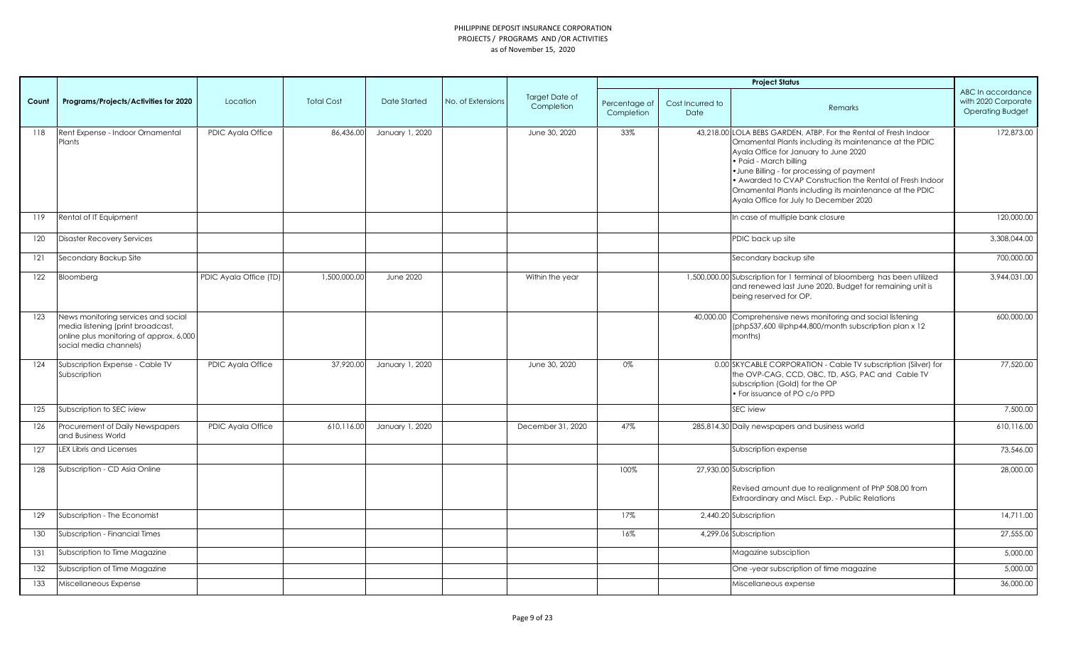|       |                                                                                                                                               |                        |                   |                  |                   |                              |                             |                          | <b>Project Status</b>                                                                                                                                                                                                                                                                                                                                                                                          |                                                                     |
|-------|-----------------------------------------------------------------------------------------------------------------------------------------------|------------------------|-------------------|------------------|-------------------|------------------------------|-----------------------------|--------------------------|----------------------------------------------------------------------------------------------------------------------------------------------------------------------------------------------------------------------------------------------------------------------------------------------------------------------------------------------------------------------------------------------------------------|---------------------------------------------------------------------|
| Count | Programs/Projects/Activities for 2020                                                                                                         | Location               | <b>Total Cost</b> | Date Started     | No. of Extensions | Target Date of<br>Completion | Percentage of<br>Completion | Cost Incurred to<br>Date | Remarks                                                                                                                                                                                                                                                                                                                                                                                                        | ABC In accordance<br>with 2020 Corporate<br><b>Operating Budget</b> |
| 118   | Rent Expense - Indoor Ornamental<br>Plants                                                                                                    | PDIC Ayala Office      | 86,436.00         | January 1, 2020  |                   | June 30, 2020                | 33%                         |                          | 43,218.00 LOLA BEBS GARDEN, ATBP. For the Rental of Fresh Indoor<br>Ornamental Plants including its maintenance at the PDIC<br>Ayala Office for January to June 2020<br>• Paid - March billing<br>• June Billing - for processing of payment<br>• Awarded to CVAP Construction the Rental of Fresh Indoor<br>Ornamental Plants including its maintenance at the PDIC<br>Ayala Office for July to December 2020 | 172,873.00                                                          |
| 119   | Rental of IT Equipment                                                                                                                        |                        |                   |                  |                   |                              |                             |                          | In case of multiple bank closure                                                                                                                                                                                                                                                                                                                                                                               | 120,000.00                                                          |
| 120   | <b>Disaster Recovery Services</b>                                                                                                             |                        |                   |                  |                   |                              |                             |                          | PDIC back up site                                                                                                                                                                                                                                                                                                                                                                                              | 3,308,044.00                                                        |
| 121   | Secondary Backup Site                                                                                                                         |                        |                   |                  |                   |                              |                             |                          | Secondary backup site                                                                                                                                                                                                                                                                                                                                                                                          | 700,000.00                                                          |
| 122   | Bloomberg                                                                                                                                     | PDIC Ayala Office (TD) | 1,500,000.00      | <b>June 2020</b> |                   | Within the year              |                             |                          | 1,500,000.00 Subscription for 1 terminal of bloomberg has been utilized<br>and renewed last June 2020. Budget for remaining unit is<br>being reserved for OP.                                                                                                                                                                                                                                                  | 3,944,031.00                                                        |
| 123   | News monitoring services and social<br>media listening (print broadcast,<br>online plus monitoring of approx. 6,000<br>social media channels) |                        |                   |                  |                   |                              |                             |                          | 40,000.00 Comprehensive news monitoring and social listening<br>(php537,600 @php44,800/month subscription plan x 12<br>months)                                                                                                                                                                                                                                                                                 | 600,000.00                                                          |
| 124   | Subscription Expense - Cable TV<br>Subscription                                                                                               | PDIC Ayala Office      | 37,920.00         | January 1, 2020  |                   | June 30, 2020                | 0%                          |                          | 0.00 SKYCABLE CORPORATION - Cable TV subscription (Silver) for<br>the OVP-CAG, CCD, OBC, TD, ASG, PAC and Cable TV<br>subscription (Gold) for the OP<br>• For issuance of PO c/o PPD                                                                                                                                                                                                                           | 77,520.00                                                           |
| 125   | Subscription to SEC iview                                                                                                                     |                        |                   |                  |                   |                              |                             |                          | <b>SEC</b> iview                                                                                                                                                                                                                                                                                                                                                                                               | 7,500.00                                                            |
| 126   | Procurement of Daily Newspapers<br>and Business World                                                                                         | PDIC Ayala Office      | 610,116.00        | January 1, 2020  |                   | December 31, 2020            | 47%                         |                          | 285,814.30 Daily newspapers and business world                                                                                                                                                                                                                                                                                                                                                                 | 610,116.00                                                          |
| 127   | <b>LEX Libris and Licenses</b>                                                                                                                |                        |                   |                  |                   |                              |                             |                          | Subscription expense                                                                                                                                                                                                                                                                                                                                                                                           | 73,546.00                                                           |
| 128   | Subscription - CD Asia Online                                                                                                                 |                        |                   |                  |                   |                              | 100%                        |                          | 27,930.00 Subscription<br>Revised amount due to realignment of PhP 508.00 from<br>Extraordinary and Miscl. Exp. - Public Relations                                                                                                                                                                                                                                                                             | 28,000.00                                                           |
| 129   | Subscription - The Economist                                                                                                                  |                        |                   |                  |                   |                              | 17%                         |                          | 2,440.20 Subscription                                                                                                                                                                                                                                                                                                                                                                                          | 14,711.00                                                           |
| 130   | Subscription - Financial Times                                                                                                                |                        |                   |                  |                   |                              | 16%                         |                          | 4,299.06 Subscription                                                                                                                                                                                                                                                                                                                                                                                          | 27,555.00                                                           |
| 131   | Subscription to Time Magazine                                                                                                                 |                        |                   |                  |                   |                              |                             |                          | Magazine subsciption                                                                                                                                                                                                                                                                                                                                                                                           | 5,000.00                                                            |
| 132   | Subscription of Time Magazine                                                                                                                 |                        |                   |                  |                   |                              |                             |                          | One -year subscription of time magazine                                                                                                                                                                                                                                                                                                                                                                        | 5,000.00                                                            |
| 133   | Miscellaneous Expense                                                                                                                         |                        |                   |                  |                   |                              |                             |                          | Miscellaneous expense                                                                                                                                                                                                                                                                                                                                                                                          | 36,000.00                                                           |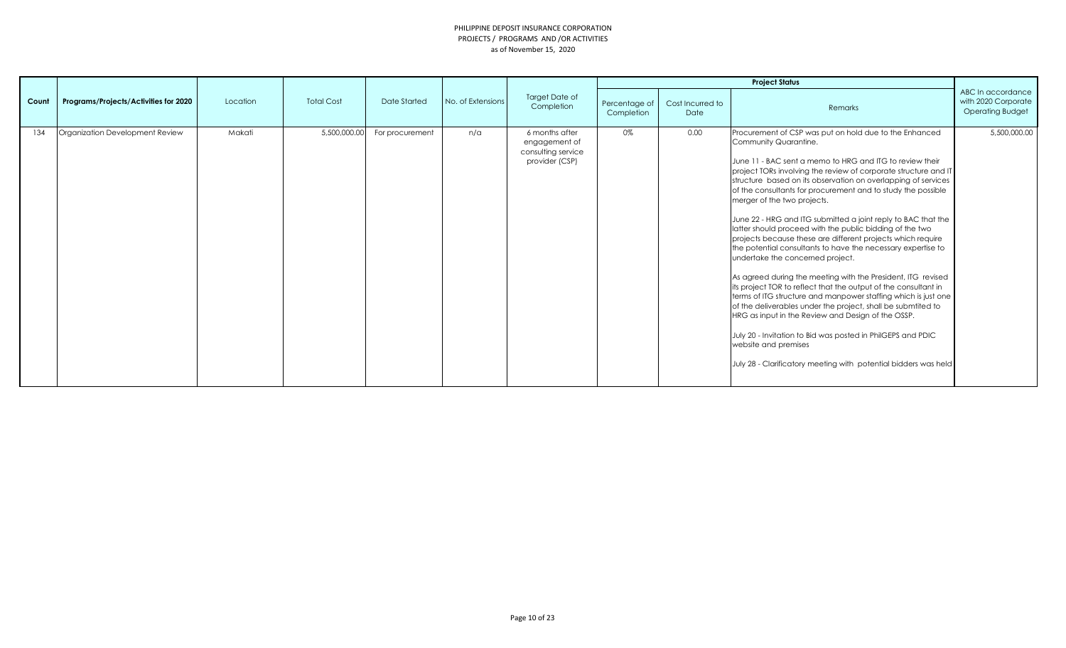|       |                                       |          |                   |                 |                   |                                                       |                             |                          | <b>Project Status</b>                                                                                                                                                                                                                                                                                                                                                                                                                                                                                                                                                                                                                                                                                                                                                                                                                                                                                                                                                                                                                                                                                                                                               |                                                                     |
|-------|---------------------------------------|----------|-------------------|-----------------|-------------------|-------------------------------------------------------|-----------------------------|--------------------------|---------------------------------------------------------------------------------------------------------------------------------------------------------------------------------------------------------------------------------------------------------------------------------------------------------------------------------------------------------------------------------------------------------------------------------------------------------------------------------------------------------------------------------------------------------------------------------------------------------------------------------------------------------------------------------------------------------------------------------------------------------------------------------------------------------------------------------------------------------------------------------------------------------------------------------------------------------------------------------------------------------------------------------------------------------------------------------------------------------------------------------------------------------------------|---------------------------------------------------------------------|
| Count | Programs/Projects/Activities for 2020 | Location | <b>Total Cost</b> | Date Started    | No. of Extensions | Target Date of<br>Completion<br>6 months after        | Percentage of<br>Completion | Cost Incurred to<br>Date | Remarks                                                                                                                                                                                                                                                                                                                                                                                                                                                                                                                                                                                                                                                                                                                                                                                                                                                                                                                                                                                                                                                                                                                                                             | ABC In accordance<br>with 2020 Corporate<br><b>Operating Budget</b> |
| 134   | Organization Development Review       | Makati   | 5,500,000.00      | For procurement | $n/\alpha$        | engagement of<br>consulting service<br>provider (CSP) | 0%                          | 0.00                     | Procurement of CSP was put on hold due to the Enhanced<br>Community Quarantine.<br>June 11 - BAC sent a memo to HRG and ITG to review their<br>project TORs involving the review of corporate structure and IT<br>structure based on its observation on overlapping of services<br>of the consultants for procurement and to study the possible<br>merger of the two projects.<br>June 22 - HRG and ITG submitted a joint reply to BAC that the<br>latter should proceed with the public bidding of the two<br>projects because these are different projects which require<br>the potential consultants to have the necessary expertise to<br>undertake the concerned project.<br>As agreed during the meeting with the President, ITG revised<br>its project TOR to reflect that the output of the consultant in<br>terms of ITG structure and manpower staffing which is just one<br>of the deliverables under the project, shall be submtited to<br>HRG as input in the Review and Design of the OSSP.<br>July 20 - Invitation to Bid was posted in PhilGEPS and PDIC<br>website and premises<br>July 28 - Clarificatory meeting with potential bidders was held | 5,500,000.00                                                        |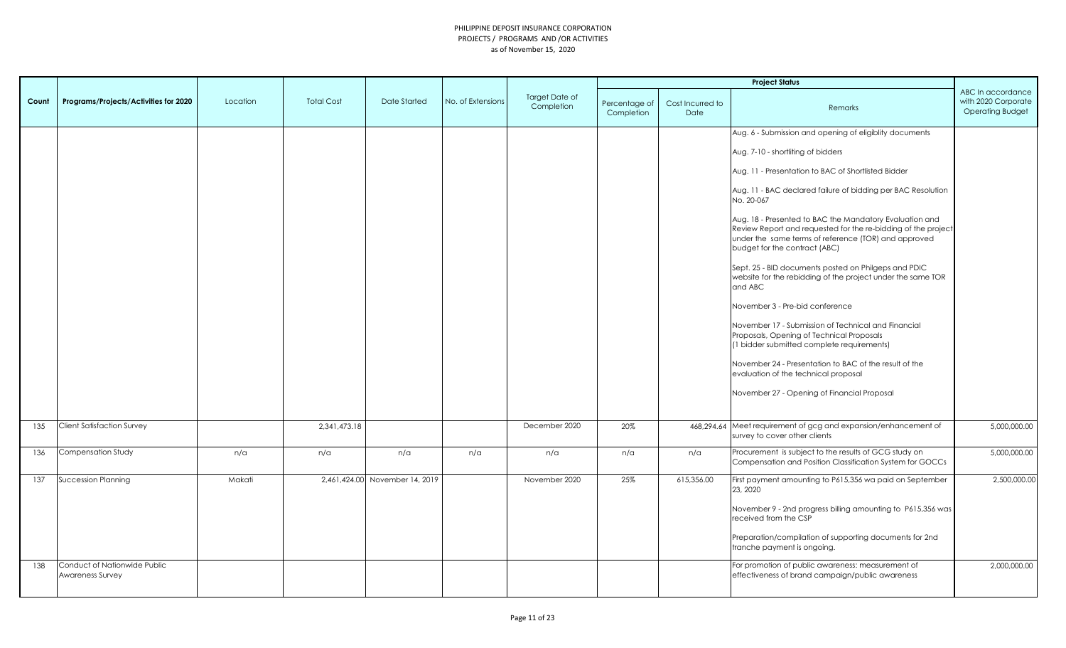|       |                                                  |          |                   |                                |                   |                              |                             |                          | <b>Project Status</b>                                                                                                                                                                                             |                                                                     |
|-------|--------------------------------------------------|----------|-------------------|--------------------------------|-------------------|------------------------------|-----------------------------|--------------------------|-------------------------------------------------------------------------------------------------------------------------------------------------------------------------------------------------------------------|---------------------------------------------------------------------|
| Count | Programs/Projects/Activities for 2020            | Location | <b>Total Cost</b> | Date Started                   | No. of Extensions | Target Date of<br>Completion | Percentage of<br>Completion | Cost Incurred to<br>Date | Remarks                                                                                                                                                                                                           | ABC In accordance<br>with 2020 Corporate<br><b>Operating Budget</b> |
|       |                                                  |          |                   |                                |                   |                              |                             |                          | Aug. 6 - Submission and opening of eligiblity documents                                                                                                                                                           |                                                                     |
|       |                                                  |          |                   |                                |                   |                              |                             |                          | Aug. 7-10 - shortliting of bidders                                                                                                                                                                                |                                                                     |
|       |                                                  |          |                   |                                |                   |                              |                             |                          | Aug. 11 - Presentation to BAC of Shortlisted Bidder                                                                                                                                                               |                                                                     |
|       |                                                  |          |                   |                                |                   |                              |                             |                          | Aug. 11 - BAC declared failure of bidding per BAC Resolution<br>No. 20-067                                                                                                                                        |                                                                     |
|       |                                                  |          |                   |                                |                   |                              |                             |                          | Aug. 18 - Presented to BAC the Mandatory Evaluation and<br>Review Report and requested for the re-bidding of the project<br>under the same terms of reference (TOR) and approved<br>budget for the contract (ABC) |                                                                     |
|       |                                                  |          |                   |                                |                   |                              |                             |                          | Sept. 25 - BID documents posted on Philgeps and PDIC<br>website for the rebidding of the project under the same TOR<br>and ABC                                                                                    |                                                                     |
|       |                                                  |          |                   |                                |                   |                              |                             |                          | November 3 - Pre-bid conference                                                                                                                                                                                   |                                                                     |
|       |                                                  |          |                   |                                |                   |                              |                             |                          | November 17 - Submission of Technical and Financial<br>Proposals, Opening of Technical Proposals<br>(1 bidder submitted complete requirements)                                                                    |                                                                     |
|       |                                                  |          |                   |                                |                   |                              |                             |                          | November 24 - Presentation to BAC of the result of the<br>evaluation of the technical proposal                                                                                                                    |                                                                     |
|       |                                                  |          |                   |                                |                   |                              |                             |                          | November 27 - Opening of Financial Proposal                                                                                                                                                                       |                                                                     |
| 135   | <b>Client Satisfaction Survey</b>                |          | 2,341,473.18      |                                |                   | December 2020                | 20%                         |                          | 468,294.64 Meet requirement of gcg and expansion/enhancement of<br>survey to cover other clients                                                                                                                  | 5,000,000.00                                                        |
| 136   | Compensation Study                               | n/a      | n/a               | n/a                            | n/a               | n/a                          | n/a                         | n/a                      | Procurement is subject to the results of GCG study on<br>Compensation and Position Classification System for GOCCs                                                                                                | 5,000,000.00                                                        |
| 137   | <b>Succession Planning</b>                       | Makati   |                   | 2.461.424.00 November 14, 2019 |                   | November 2020                | 25%                         | 615,356.00               | First payment amounting to P615,356 wa paid on September<br>23, 2020                                                                                                                                              | 2,500,000.00                                                        |
|       |                                                  |          |                   |                                |                   |                              |                             |                          | November 9 - 2nd progress billing amounting to P615,356 was<br>received from the CSP                                                                                                                              |                                                                     |
|       |                                                  |          |                   |                                |                   |                              |                             |                          | Preparation/compilation of supporting documents for 2nd<br>tranche payment is ongoing.                                                                                                                            |                                                                     |
| 138   | Conduct of Nationwide Public<br>Awareness Survey |          |                   |                                |                   |                              |                             |                          | For promotion of public awareness: measurement of<br>effectiveness of brand campaign/public awareness                                                                                                             | 2,000,000.00                                                        |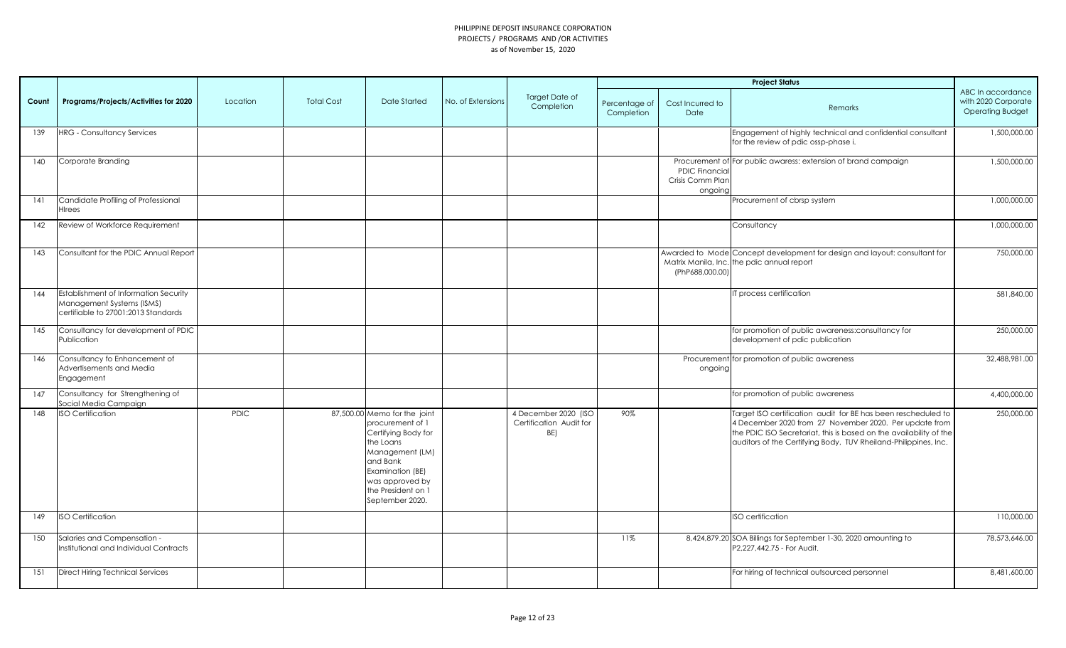|       |                                                                                                                  |             |                   |                                                                                                                                                                                                     |                   |                                                        |                             |                                              | <b>Project Status</b>                                                                                                                                                                                                                                            |                                                                     |
|-------|------------------------------------------------------------------------------------------------------------------|-------------|-------------------|-----------------------------------------------------------------------------------------------------------------------------------------------------------------------------------------------------|-------------------|--------------------------------------------------------|-----------------------------|----------------------------------------------|------------------------------------------------------------------------------------------------------------------------------------------------------------------------------------------------------------------------------------------------------------------|---------------------------------------------------------------------|
| Count | Programs/Projects/Activities for 2020                                                                            | Location    | <b>Total Cost</b> | <b>Date Started</b>                                                                                                                                                                                 | No. of Extensions | Target Date of<br>Completion                           | Percentage of<br>Completion | Cost Incurred to<br>Date                     | Remarks                                                                                                                                                                                                                                                          | ABC In accordance<br>with 2020 Corporate<br><b>Operating Budget</b> |
| 139   | <b>HRG - Consultancy Services</b>                                                                                |             |                   |                                                                                                                                                                                                     |                   |                                                        |                             |                                              | Engagement of highly technical and confidential consultant<br>for the review of pdic ossp-phase i.                                                                                                                                                               | 1,500,000.00                                                        |
| 140   | Corporate Branding                                                                                               |             |                   |                                                                                                                                                                                                     |                   |                                                        |                             | PDIC Financia<br>Crisis Comm Plan<br>ongoing | Procurement of For public awaress: extension of brand campaign                                                                                                                                                                                                   | 1,500,000.00                                                        |
| 4     | Candidate Profiling of Professional<br>Hirees                                                                    |             |                   |                                                                                                                                                                                                     |                   |                                                        |                             |                                              | Procurement of cbrsp system                                                                                                                                                                                                                                      | 1,000,000.00                                                        |
| 142   | Review of Workforce Requirement                                                                                  |             |                   |                                                                                                                                                                                                     |                   |                                                        |                             |                                              | Consultancy                                                                                                                                                                                                                                                      | 1,000,000.00                                                        |
| 143   | Consultant for the PDIC Annual Report                                                                            |             |                   |                                                                                                                                                                                                     |                   |                                                        |                             | (PhP688,000.00                               | Awarded to Mode Concept development for design and layout: consultant for<br>Matrix Manila, Inc. the pdic annual report                                                                                                                                          | 750,000.00                                                          |
| 144   | <b>Establishment of Information Security</b><br>Management Systems (ISMS)<br>certifiable to 27001:2013 Standards |             |                   |                                                                                                                                                                                                     |                   |                                                        |                             |                                              | T process certification                                                                                                                                                                                                                                          | 581,840.00                                                          |
| 145   | Consultancy for development of PDIC<br>Publication                                                               |             |                   |                                                                                                                                                                                                     |                   |                                                        |                             |                                              | for promotion of public awareness:consultancy for<br>development of pdic publication                                                                                                                                                                             | 250,000.00                                                          |
| 146   | Consultancy fo Enhancement of<br>Advertisements and Media<br>Engagement                                          |             |                   |                                                                                                                                                                                                     |                   |                                                        |                             | ongoing                                      | Procurement for promotion of public awareness                                                                                                                                                                                                                    | 32,488,981.00                                                       |
| 147   | Consultancy for Strengthening of<br>Social Media Campaign                                                        |             |                   |                                                                                                                                                                                                     |                   |                                                        |                             |                                              | for promotion of public awareness                                                                                                                                                                                                                                | 4,400,000.00                                                        |
| 148   | <b>ISO Certification</b>                                                                                         | <b>PDIC</b> |                   | 87,500.00 Memo for the joint<br>procurement of 1<br>Certifying Body for<br>the Loans<br>Management (LM)<br>and Bank<br>Examination (BE)<br>was approved by<br>the President on 1<br>September 2020. |                   | 4 December 2020 (ISO<br>Certification Audit for<br>BE) | 90%                         |                                              | Target ISO certification audit for BE has been rescheduled to<br>4 December 2020 from 27 November 2020. Per update from<br>the PDIC ISO Secretariat, this is based on the availability of the<br>auditors of the Certifying Body, TUV Rheiland-Philippines, Inc. | 250,000.00                                                          |
| 149   | <b>ISO Certification</b>                                                                                         |             |                   |                                                                                                                                                                                                     |                   |                                                        |                             |                                              | ISO certification                                                                                                                                                                                                                                                | 110,000.00                                                          |
| 150   | Salaries and Compensation -<br>Institutional and Individual Contracts                                            |             |                   |                                                                                                                                                                                                     |                   |                                                        | 11%                         |                                              | 8,424,879.20 SOA Billings for September 1-30, 2020 amounting to<br>P2,227,442.75 - For Audit.                                                                                                                                                                    | 78,573,646.00                                                       |
| 151   | <b>Direct Hiring Technical Services</b>                                                                          |             |                   |                                                                                                                                                                                                     |                   |                                                        |                             |                                              | For hiring of technical outsourced personnel                                                                                                                                                                                                                     | 8,481,600.00                                                        |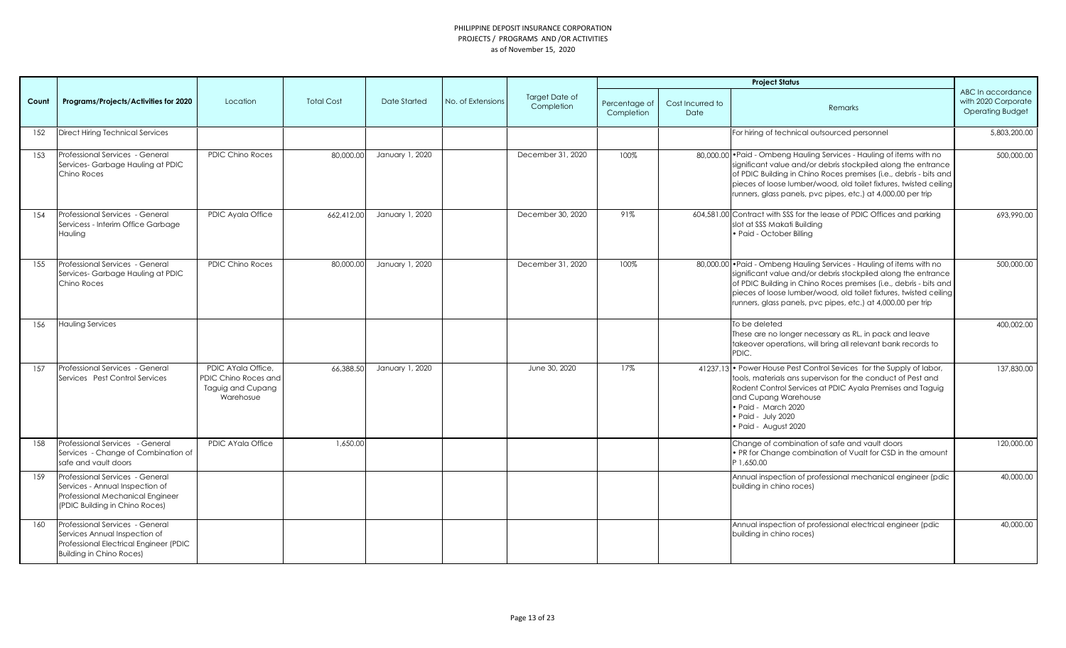|       |                                                                                                                                               |                                                                              |                   |                 |                   |                              |                             |                          | <b>Project Status</b>                                                                                                                                                                                                                                                                                                                            |                                                                     |
|-------|-----------------------------------------------------------------------------------------------------------------------------------------------|------------------------------------------------------------------------------|-------------------|-----------------|-------------------|------------------------------|-----------------------------|--------------------------|--------------------------------------------------------------------------------------------------------------------------------------------------------------------------------------------------------------------------------------------------------------------------------------------------------------------------------------------------|---------------------------------------------------------------------|
| Count | Programs/Projects/Activities for 2020                                                                                                         | Location                                                                     | <b>Total Cost</b> | Date Started    | No. of Extensions | Target Date of<br>Completion | Percentage of<br>Completion | Cost Incurred to<br>Date | Remarks                                                                                                                                                                                                                                                                                                                                          | ABC In accordance<br>with 2020 Corporate<br><b>Operating Budget</b> |
| 152   | <b>Direct Hiring Technical Services</b>                                                                                                       |                                                                              |                   |                 |                   |                              |                             |                          | For hiring of technical outsourced personnel                                                                                                                                                                                                                                                                                                     | 5,803,200.00                                                        |
| 153   | Professional Services - General<br>Services-Garbage Hauling at PDIC<br>Chino Roces                                                            | <b>PDIC Chino Roces</b>                                                      | 80,000.00         | January 1, 2020 |                   | December 31, 2020            | 100%                        |                          | 80,000.00 • Paid - Ombeng Hauling Services - Hauling of items with no<br>significant value and/or debris stockpiled along the entrance<br>of PDIC Building in Chino Roces premises (i.e., debris - bits and<br>pieces of loose lumber/wood, old toilet fixtures, twisted ceiling<br>runners, glass panels, pvc pipes, etc.) at 4,000.00 per trip | 500,000.00                                                          |
| 154   | Professional Services - General<br>Servicess - Interim Office Garbage<br>Hauling                                                              | PDIC Ayala Office                                                            | 662,412.00        | January 1, 2020 |                   | December 30, 2020            | 91%                         |                          | 604,581.00 Contract with SSS for the lease of PDIC Offices and parking<br>slot at SSS Makati Building<br>· Paid - October Billing                                                                                                                                                                                                                | 693,990.00                                                          |
| 155   | Professional Services - General<br>Services-Garbage Hauling at PDIC<br>Chino Roces                                                            | <b>PDIC Chino Roces</b>                                                      | 80,000,00         | January 1, 2020 |                   | December 31, 2020            | 100%                        |                          | 80,000.00 . Paid - Ombeng Hauling Services - Hauling of items with no<br>significant value and/or debris stockpiled along the entrance<br>of PDIC Building in Chino Roces premises (i.e., debris - bits and<br>pieces of loose lumber/wood, old toilet fixtures, twisted ceiling<br>runners, glass panels, pvc pipes, etc.) at 4,000.00 per trip | 500,000.00                                                          |
| 156   | Hauling Services                                                                                                                              |                                                                              |                   |                 |                   |                              |                             |                          | To be deleted<br>These are no longer necessary as RL, in pack and leave<br>takeover operations, will bring all relevant bank records to<br>PDIC.                                                                                                                                                                                                 | 400,002.00                                                          |
| 157   | Professional Services - General<br>Services Pest Control Services                                                                             | PDIC AYala Office.<br>PDIC Chino Roces and<br>Taguig and Cupang<br>Warehosue | 66.388.50         | January 1, 2020 |                   | June 30, 2020                | 17%                         |                          | 41237.13 • Power House Pest Control Sevices for the Supply of labor,<br>tools, materials ans supervison for the conduct of Pest and<br>Rodent Control Services at PDIC Ayala Premises and Taguig<br>and Cupang Warehouse<br>· Paid - March 2020<br>· Paid - July 2020<br>Paid - August 2020                                                      | 137,830.00                                                          |
| 158   | Professional Services - General<br>Services - Change of Combination of<br>safe and vault doors                                                | PDIC AYala Office                                                            | 1,650.00          |                 |                   |                              |                             |                          | Change of combination of safe and vault doors<br>• PR for Change combination of Vualt for CSD in the amount<br>1,650.00                                                                                                                                                                                                                          | 120,000.00                                                          |
| 159   | Professional Services - General<br>Services - Annual Inspection of<br>Professional Mechanical Engineer<br>(PDIC Building in Chino Roces)      |                                                                              |                   |                 |                   |                              |                             |                          | Annual inspection of professional mechanical engineer (pdic<br>building in chino roces)                                                                                                                                                                                                                                                          | 40,000.00                                                           |
| 160   | Professional Services - General<br>Services Annual Inspection of<br>Professional Electrical Engineer (PDIC<br><b>Building in Chino Roces)</b> |                                                                              |                   |                 |                   |                              |                             |                          | Annual inspection of professional electrical engineer (pdic<br>building in chino roces)                                                                                                                                                                                                                                                          | 40,000.00                                                           |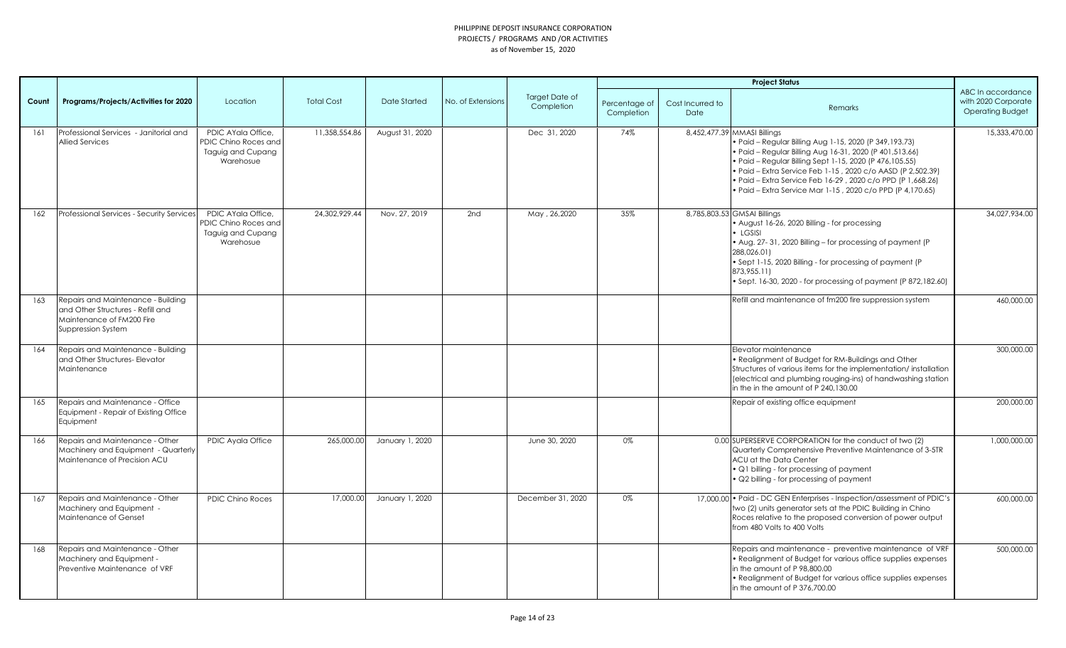|       |                                                                                                                            |                                                                              |                   |                 |                   |                              |                             |                          | <b>Project Status</b>                                                                                                                                                                                                                                                                                                                                                                                      |                                                                     |
|-------|----------------------------------------------------------------------------------------------------------------------------|------------------------------------------------------------------------------|-------------------|-----------------|-------------------|------------------------------|-----------------------------|--------------------------|------------------------------------------------------------------------------------------------------------------------------------------------------------------------------------------------------------------------------------------------------------------------------------------------------------------------------------------------------------------------------------------------------------|---------------------------------------------------------------------|
| Count | Programs/Projects/Activities for 2020                                                                                      | Location                                                                     | <b>Total Cost</b> | Date Started    | No. of Extensions | Target Date of<br>Completion | Percentage of<br>Completion | Cost Incurred to<br>Date | Remarks                                                                                                                                                                                                                                                                                                                                                                                                    | ABC In accordance<br>with 2020 Corporate<br><b>Operating Budget</b> |
| 161   | Professional Services - Janitorial and<br><b>Allied Services</b>                                                           | PDIC AYala Office,<br>PDIC Chino Roces and<br>Taguig and Cupang<br>Warehosue | 11,358,554.86     | August 31, 2020 |                   | Dec 31, 2020                 | 74%                         |                          | 8,452,477.39 MMASI Billings<br>. Paid - Regular Billing Aug 1-15, 2020 (P 349, 193.73)<br>· Paid - Regular Billing Aug 16-31, 2020 (P 401, 513.66)<br>· Paid - Regular Billing Sept 1-15, 2020 (P 476, 105.55)<br>· Paid - Extra Service Feb 1-15, 2020 c/o AASD (P 2,502.39)<br>· Paid - Extra Service Feb 16-29, 2020 c/o PPD (P 1,668.26)<br>· Paid - Extra Service Mar 1-15, 2020 c/o PPD (P 4,170.65) | 15,333,470.00                                                       |
| 162   | Professional Services - Security Services                                                                                  | PDIC AYala Office.<br>PDIC Chino Roces and<br>Taguig and Cupang<br>Warehosue | 24,302,929.44     | Nov. 27, 2019   | 2nd               | May, 26,2020                 | 35%                         |                          | 8,785,803.53 GMSAI Billings<br>• August 16-26, 2020 Billing - for processing<br>$\cdot$ LGSISI<br>• Aug. 27-31, 2020 Billing - for processing of payment (P<br>288,026.01)<br>. Sept 1-15, 2020 Billing - for processing of payment (P)<br>873,955.11)<br>• Sept. 16-30, 2020 - for processing of payment (P 872, 182.60)                                                                                  | 34,027,934.00                                                       |
| 163   | Repairs and Maintenance - Building<br>and Other Structures - Refill and<br>Maintenance of FM200 Fire<br>Suppression System |                                                                              |                   |                 |                   |                              |                             |                          | Refill and maintenance of fm200 fire suppression system                                                                                                                                                                                                                                                                                                                                                    | 460,000,00                                                          |
| 164   | Repairs and Maintenance - Building<br>and Other Structures- Elevator<br>Maintenance                                        |                                                                              |                   |                 |                   |                              |                             |                          | Elevator maintenance<br>• Realignment of Budget for RM-Buildings and Other<br>Structures of various items for the implementation/installation<br>(electrical and plumbing rouging-ins) of handwashing station<br>in the in the amount of P 240,130.00                                                                                                                                                      | 300,000.00                                                          |
| 165   | Repairs and Maintenance - Office<br>Equipment - Repair of Existing Office<br>Equipment                                     |                                                                              |                   |                 |                   |                              |                             |                          | Repair of existing office equipment                                                                                                                                                                                                                                                                                                                                                                        | 200,000.00                                                          |
| 166   | Repairs and Maintenance - Other<br>Machinery and Equipment - Quarterly<br>Maintenance of Precision ACU                     | PDIC Ayala Office                                                            | 265.000.00        | January 1, 2020 |                   | June 30, 2020                | 0%                          |                          | 0.00 SUPERSERVE CORPORATION for the conduct of two (2)<br>Quarterly Comprehensive Preventive Maintenance of 3-5TR<br>ACU at the Data Center<br>• Q1 billing - for processing of payment<br>• Q2 billing - for processing of payment                                                                                                                                                                        | 1,000,000.00                                                        |
| 167   | Repairs and Maintenance - Other<br>Machinery and Equipment -<br>Maintenance of Genset                                      | <b>PDIC Chino Roces</b>                                                      | 17,000.00         | January 1, 2020 |                   | December 31, 2020            | 0%                          |                          | 17,000.00 • Paid - DC GEN Enterprises - Inspection/assessment of PDIC's<br>two (2) units generator sets at the PDIC Building in Chino<br>Roces relative to the proposed conversion of power output<br>from 480 Volts to 400 Volts                                                                                                                                                                          | 600,000.00                                                          |
| 168   | Repairs and Maintenance - Other<br>Machinery and Equipment -<br>Preventive Maintenance of VRF                              |                                                                              |                   |                 |                   |                              |                             |                          | Repairs and maintenance - preventive maintenance of VRF<br>• Realignment of Budget for various office supplies expenses<br>in the amount of P 98,800.00<br>• Realignment of Budget for various office supplies expenses<br>in the amount of P 376,700.00                                                                                                                                                   | 500,000.00                                                          |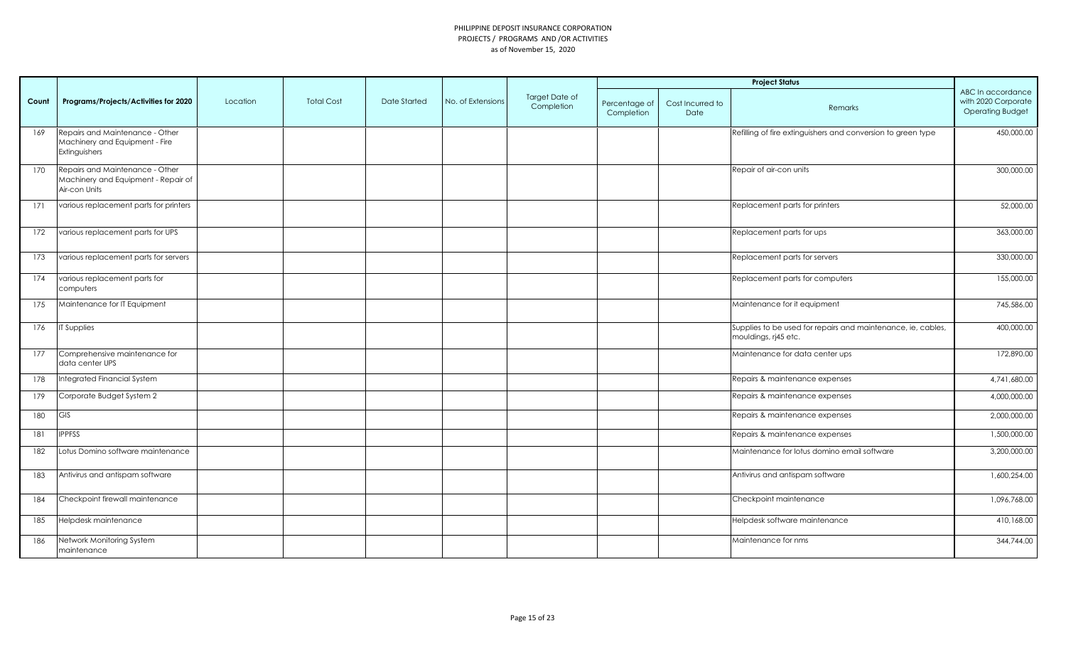|       |                                                                                         |          |                   |              |                   |                              |                             |                          | <b>Project Status</b>                                                                |                                                                     |
|-------|-----------------------------------------------------------------------------------------|----------|-------------------|--------------|-------------------|------------------------------|-----------------------------|--------------------------|--------------------------------------------------------------------------------------|---------------------------------------------------------------------|
| Count | Programs/Projects/Activities for 2020                                                   | Location | <b>Total Cost</b> | Date Started | No. of Extensions | Target Date of<br>Completion | Percentage of<br>Completion | Cost Incurred to<br>Date | Remarks                                                                              | ABC In accordance<br>with 2020 Corporate<br><b>Operating Budget</b> |
| 169   | Repairs and Maintenance - Other<br>Machinery and Equipment - Fire<br>Extinguishers      |          |                   |              |                   |                              |                             |                          | Refilling of fire extinguishers and conversion to green type                         | 450,000.00                                                          |
| 170   | Repairs and Maintenance - Other<br>Machinery and Equipment - Repair of<br>Air-con Units |          |                   |              |                   |                              |                             |                          | Repair of air-con units                                                              | 300,000.00                                                          |
| 171   | various replacement parts for printers                                                  |          |                   |              |                   |                              |                             |                          | Replacement parts for printers                                                       | 52,000.00                                                           |
| 172   | various replacement parts for UPS                                                       |          |                   |              |                   |                              |                             |                          | Replacement parts for ups                                                            | 363,000.00                                                          |
| 173   | various replacement parts for servers                                                   |          |                   |              |                   |                              |                             |                          | Replacement parts for servers                                                        | 330,000.00                                                          |
| 174   | various replacement parts for<br>computers                                              |          |                   |              |                   |                              |                             |                          | Replacement parts for computers                                                      | 155,000.00                                                          |
| 175   | Maintenance for IT Equipment                                                            |          |                   |              |                   |                              |                             |                          | Maintenance for it equipment                                                         | 745,586.00                                                          |
| 176   | IT Supplies                                                                             |          |                   |              |                   |                              |                             |                          | Supplies to be used for repairs and maintenance, ie, cables,<br>mouldings, rj45 etc. | 400,000.00                                                          |
| 177   | Comprehensive maintenance for<br>data center UPS                                        |          |                   |              |                   |                              |                             |                          | Maintenance for data center ups                                                      | 172,890.00                                                          |
| 178   | Integrated Financial System                                                             |          |                   |              |                   |                              |                             |                          | Repairs & maintenance expenses                                                       | 4,741,680.00                                                        |
| 179   | Corporate Budget System 2                                                               |          |                   |              |                   |                              |                             |                          | Repairs & maintenance expenses                                                       | 4,000,000.00                                                        |
| 180   | GIS                                                                                     |          |                   |              |                   |                              |                             |                          | Repairs & maintenance expenses                                                       | 2,000,000.00                                                        |
| 181   | <b>IPPFSS</b>                                                                           |          |                   |              |                   |                              |                             |                          | Repairs & maintenance expenses                                                       | 1,500,000.00                                                        |
| 182   | Lotus Domino software maintenance                                                       |          |                   |              |                   |                              |                             |                          | Maintenance for lotus domino email software                                          | 3,200,000.00                                                        |
| 183   | Antivirus and antispam software                                                         |          |                   |              |                   |                              |                             |                          | Antivirus and antispam software                                                      | 1,600,254.00                                                        |
| 184   | Checkpoint firewall maintenance                                                         |          |                   |              |                   |                              |                             |                          | Checkpoint maintenance                                                               | 1,096,768.00                                                        |
| 185   | Helpdesk maintenance                                                                    |          |                   |              |                   |                              |                             |                          | Helpdesk software maintenance                                                        | 410,168.00                                                          |
| 186   | Network Monitoring System<br>maintenance                                                |          |                   |              |                   |                              |                             |                          | Maintenance for nms                                                                  | 344,744.00                                                          |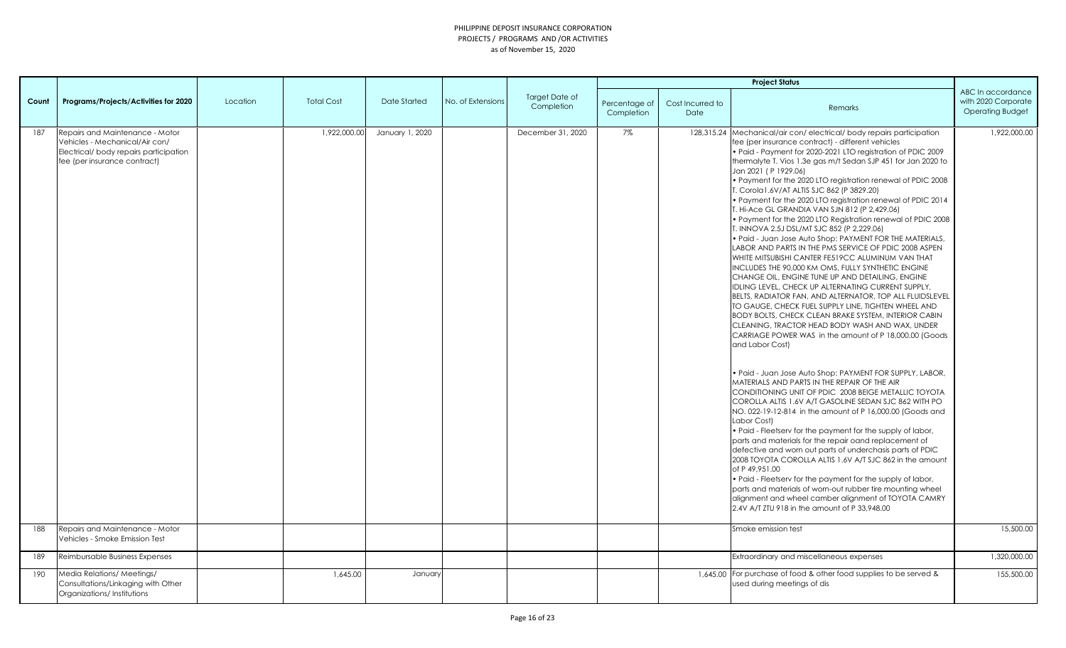|            |                                                                                                                                                                               |          |                   |                 |                   |                              |                             |                          | <b>Project Status</b>                                                                                                                                                                                                                                                                                                                                                                                                                                                                                                                                                                                                                                                                                                                                                                                                                                                                                                                                                                                                                                                                                                                                                                                                                                                                                                                                                                                                                                                                                                                                                                                                                                                                                                                                                                                                                                                                                                                                                                                                                                                                                                         |                                                                     |
|------------|-------------------------------------------------------------------------------------------------------------------------------------------------------------------------------|----------|-------------------|-----------------|-------------------|------------------------------|-----------------------------|--------------------------|-------------------------------------------------------------------------------------------------------------------------------------------------------------------------------------------------------------------------------------------------------------------------------------------------------------------------------------------------------------------------------------------------------------------------------------------------------------------------------------------------------------------------------------------------------------------------------------------------------------------------------------------------------------------------------------------------------------------------------------------------------------------------------------------------------------------------------------------------------------------------------------------------------------------------------------------------------------------------------------------------------------------------------------------------------------------------------------------------------------------------------------------------------------------------------------------------------------------------------------------------------------------------------------------------------------------------------------------------------------------------------------------------------------------------------------------------------------------------------------------------------------------------------------------------------------------------------------------------------------------------------------------------------------------------------------------------------------------------------------------------------------------------------------------------------------------------------------------------------------------------------------------------------------------------------------------------------------------------------------------------------------------------------------------------------------------------------------------------------------------------------|---------------------------------------------------------------------|
| Count      | Programs/Projects/Activities for 2020                                                                                                                                         | Location | <b>Total Cost</b> | Date Started    | No. of Extensions | Target Date of<br>Completion | Percentage of<br>Completion | Cost Incurred to<br>Date | Remarks                                                                                                                                                                                                                                                                                                                                                                                                                                                                                                                                                                                                                                                                                                                                                                                                                                                                                                                                                                                                                                                                                                                                                                                                                                                                                                                                                                                                                                                                                                                                                                                                                                                                                                                                                                                                                                                                                                                                                                                                                                                                                                                       | ABC In accordance<br>with 2020 Corporate<br><b>Operating Budget</b> |
| 187<br>188 | Repairs and Maintenance - Motor<br>Vehicles - Mechanical/Air con/<br>Electrical/body repairs participation<br>fee (per insurance contract)<br>Repairs and Maintenance - Motor |          | 1,922,000.00      | January 1, 2020 |                   | December 31, 2020            | 7%                          |                          | 128,315.24 Mechanical/air con/electrical/body repairs participation<br>fee (per insurance contract) - different vehicles<br>. Paid - Payment for 2020-2021 LTO registration of PDIC 2009<br>thermalyte T. Vios 1.3e gas m/t Sedan SJP 451 for Jan 2020 to<br>Jan 2021 (P 1929.06)<br>. Payment for the 2020 LTO registration renewal of PDIC 2008<br>T. Corola1.6V/AT ALTIS SJC 862 (P 3829.20)<br>• Payment for the 2020 LTO registration renewal of PDIC 2014<br>T. Hi-Ace GL GRANDIA VAN SJN 812 (P 2,429.06)<br>. Payment for the 2020 LTO Registration renewal of PDIC 2008<br>T. INNOVA 2.5J DSL/MT SJC 852 (P 2,229.06)<br>. Paid - Juan Jose Auto Shop: PAYMENT FOR THE MATERIALS,<br>LABOR AND PARTS IN THE PMS SERVICE OF PDIC 2008 ASPEN<br>WHITE MITSUBISHI CANTER FE519CC ALUMINUM VAN THAT<br>INCLUDES THE 90,000 KM OMS, FULLY SYNTHETIC ENGINE<br>CHANGE OIL, ENGINE TUNE UP AND DETAILING, ENGINE<br>IDLING LEVEL, CHECK UP ALTERNATING CURRENT SUPPLY,<br>BELTS, RADIATOR FAN, AND ALTERNATOR, TOP ALL FLUIDSLEVEL<br>TO GAUGE, CHECK FUEL SUPPLY LINE, TIGHTEN WHEEL AND<br>BODY BOLTS, CHECK CLEAN BRAKE SYSTEM, INTERIOR CABIN<br>CLEANING, TRACTOR HEAD BODY WASH AND WAX, UNDER<br>CARRIAGE POWER WAS in the amount of P 18,000.00 (Goods<br>and Labor Cost)<br>• Paid - Juan Jose Auto Shop: PAYMENT FOR SUPPLY, LABOR,<br>MATERIALS AND PARTS IN THE REPAIR OF THE AIR<br>CONDITIONING UNIT OF PDIC 2008 BEIGE METALLIC TOYOTA<br>COROLLA ALTIS 1.6V A/T GASOLINE SEDAN SJC 862 WITH PO<br>NO. 022-19-12-814 in the amount of P 16,000.00 (Goods and<br>Labor Cost)<br>• Paid - Fleetsery for the payment for the supply of labor,<br>parts and materials for the repair oand replacement of<br>defective and worn out parts of underchasis parts of PDIC<br>2008 TOYOTA COROLLA ALTIS 1.6V A/T SJC 862 in the amount<br>of P 49.951.00<br>• Paid - Fleetsery for the payment for the supply of labor,<br>parts and materials of worn-out rubber tire mounting wheel<br>alignment and wheel camber alignment of TOYOTA CAMRY<br>2.4V A/T ZTU 918 in the amount of P 33,948.00<br>Smoke emission test | 1,922,000.00<br>15,500.00                                           |
|            | Vehicles - Smoke Emission Test                                                                                                                                                |          |                   |                 |                   |                              |                             |                          |                                                                                                                                                                                                                                                                                                                                                                                                                                                                                                                                                                                                                                                                                                                                                                                                                                                                                                                                                                                                                                                                                                                                                                                                                                                                                                                                                                                                                                                                                                                                                                                                                                                                                                                                                                                                                                                                                                                                                                                                                                                                                                                               |                                                                     |
| 189        | Reimbursable Business Expenses                                                                                                                                                |          |                   |                 |                   |                              |                             |                          | Extraordinary and miscellaneous expenses                                                                                                                                                                                                                                                                                                                                                                                                                                                                                                                                                                                                                                                                                                                                                                                                                                                                                                                                                                                                                                                                                                                                                                                                                                                                                                                                                                                                                                                                                                                                                                                                                                                                                                                                                                                                                                                                                                                                                                                                                                                                                      | 1,320,000.00                                                        |
| 190        | Media Relations/Meetings/<br>Consultations/Linkaging with Other<br>Organizations/Institutions                                                                                 |          | 1,645.00          | January         |                   |                              |                             |                          | 1,645.00 For purchase of food & other food supplies to be served &<br>used during meetings of dis                                                                                                                                                                                                                                                                                                                                                                                                                                                                                                                                                                                                                                                                                                                                                                                                                                                                                                                                                                                                                                                                                                                                                                                                                                                                                                                                                                                                                                                                                                                                                                                                                                                                                                                                                                                                                                                                                                                                                                                                                             | 155,500.00                                                          |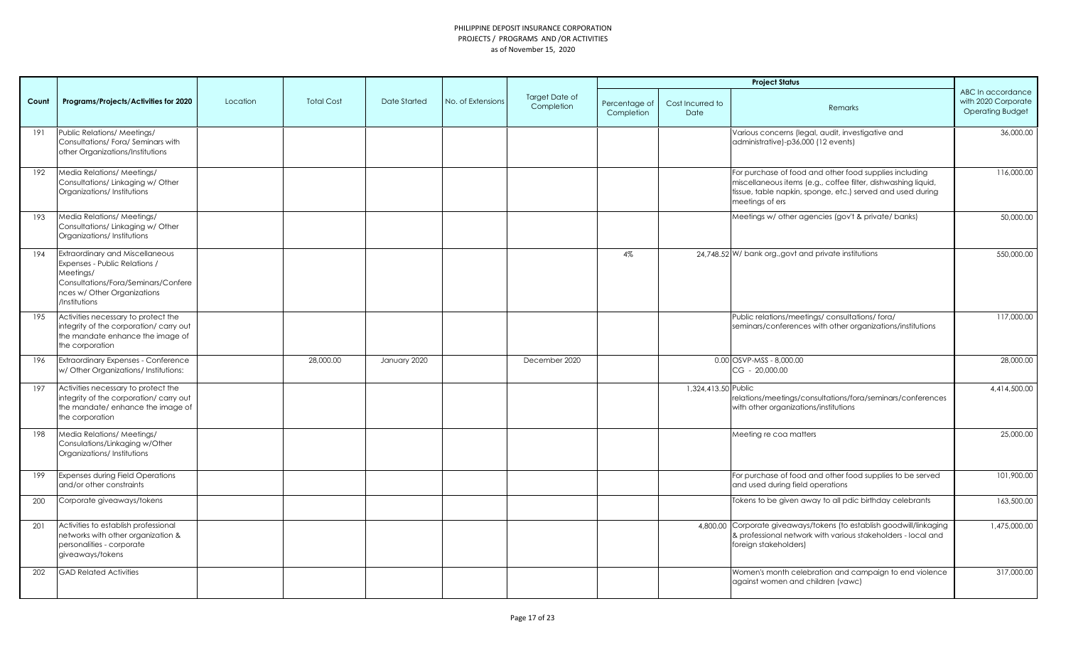|       |                                                                                                                                                                             |          |                   |              |                   |                              |                             |                          | <b>Project Status</b>                                                                                                                                                                                    |                                                                     |
|-------|-----------------------------------------------------------------------------------------------------------------------------------------------------------------------------|----------|-------------------|--------------|-------------------|------------------------------|-----------------------------|--------------------------|----------------------------------------------------------------------------------------------------------------------------------------------------------------------------------------------------------|---------------------------------------------------------------------|
| Count | Programs/Projects/Activities for 2020                                                                                                                                       | Location | <b>Total Cost</b> | Date Started | No. of Extensions | Target Date of<br>Completion | Percentage of<br>Completion | Cost Incurred to<br>Date | Remarks                                                                                                                                                                                                  | ABC In accordance<br>with 2020 Corporate<br><b>Operating Budget</b> |
| 191   | Public Relations/ Meetings/<br>Consultations/Fora/Seminars with<br>other Organizations/Institutions                                                                         |          |                   |              |                   |                              |                             |                          | Various concerns (legal, audit, investigative and<br>administrative)-p36,000 (12 events)                                                                                                                 | 36,000.00                                                           |
| 192   | Media Relations/ Meetings/<br>Consultations/ Linkaging w/ Other<br>Organizations/Institutions                                                                               |          |                   |              |                   |                              |                             |                          | For purchase of food and other food supplies including<br>miscellaneous items (e.g., coffee filter, dishwashing liquid,<br>tissue, table napkin, sponge, etc.) served and used during<br>meetings of ers | 116,000.00                                                          |
| 193   | Media Relations/ Meetings/<br>Consultations/Linkaging w/Other<br>Organizations/Institutions                                                                                 |          |                   |              |                   |                              |                             |                          | Meetings w/ other agencies (gov't & private/ banks)                                                                                                                                                      | 50,000.00                                                           |
| 194   | <b>Extraordinary and Miscellaneous</b><br>Expenses - Public Relations /<br>Meetings/<br>Consultations/Fora/Seminars/Confere<br>nces w/ Other Organizations<br>/Institutions |          |                   |              |                   |                              | 4%                          |                          | 24,748.52 W/ bank org., govt and private institutions                                                                                                                                                    | 550,000.00                                                          |
| 195   | Activities necessary to protect the<br>integrity of the corporation/ carry out<br>the mandate enhance the image of<br>the corporation                                       |          |                   |              |                   |                              |                             |                          | Public relations/meetings/consultations/fora/<br>seminars/conferences with other organizations/institutions                                                                                              | 117,000.00                                                          |
| 196   | <b>Extraordinary Expenses - Conference</b><br>w/ Other Organizations/ Institutions:                                                                                         |          | 28,000.00         | January 2020 |                   | December 2020                |                             |                          | $0.00$ OSVP-MSS - 8,000.00<br>CG - 20,000.00                                                                                                                                                             | 28,000.00                                                           |
| 197   | Activities necessary to protect the<br>integrity of the corporation/ carry out<br>the mandate/enhance the image of<br>the corporation                                       |          |                   |              |                   |                              |                             | 1,324,413.50 Public      | relations/meetings/consultations/fora/seminars/conferences<br>with other organizations/institutions                                                                                                      | 4,414,500.00                                                        |
| 198   | Media Relations/ Meetings/<br>Consulations/Linkaging w/Other<br>Organizations/Institutions                                                                                  |          |                   |              |                   |                              |                             |                          | Meeting re coa matters                                                                                                                                                                                   | 25,000.00                                                           |
| 199   | <b>Expenses during Field Operations</b><br>and/or other constraints                                                                                                         |          |                   |              |                   |                              |                             |                          | For purchase of food and other food supplies to be served<br>and used during field operations                                                                                                            | 101,900.00                                                          |
| 200   | Corporate giveaways/tokens                                                                                                                                                  |          |                   |              |                   |                              |                             |                          | Tokens to be given away to all pdic birthday celebrants                                                                                                                                                  | 163,500.00                                                          |
| 201   | Activities to establish professional<br>networks with other organization &<br>personalities - corporate<br>giveaways/tokens                                                 |          |                   |              |                   |                              |                             |                          | 4,800.00 Corporate giveaways/tokens (to establish goodwill/linkaging<br>& professional network with various stakeholders - local and<br>foreign stakeholders)                                            | 1,475,000.00                                                        |
| 202   | <b>GAD Related Activities</b>                                                                                                                                               |          |                   |              |                   |                              |                             |                          | Women's month celebration and campaign to end violence<br>against women and children (vawc)                                                                                                              | 317,000.00                                                          |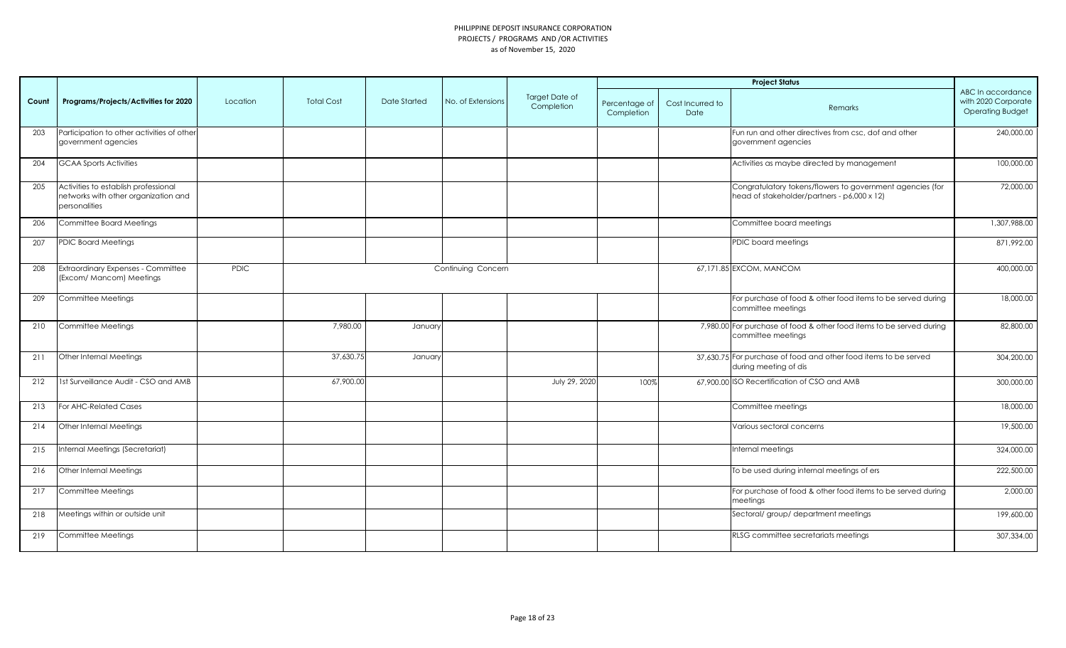|       |                                                                                               |             |                   |              |                    |                              |                             |                          | <b>Project Status</b>                                                                                    |                                                                     |
|-------|-----------------------------------------------------------------------------------------------|-------------|-------------------|--------------|--------------------|------------------------------|-----------------------------|--------------------------|----------------------------------------------------------------------------------------------------------|---------------------------------------------------------------------|
| Count | Programs/Projects/Activities for 2020                                                         | Location    | <b>Total Cost</b> | Date Started | No. of Extensions  | Target Date of<br>Completion | Percentage of<br>Completion | Cost Incurred to<br>Date | Remarks                                                                                                  | ABC In accordance<br>with 2020 Corporate<br><b>Operating Budget</b> |
| 203   | Participation to other activities of other<br>government agencies                             |             |                   |              |                    |                              |                             |                          | Fun run and other directives from csc, dof and other<br>government agencies                              | 240,000.00                                                          |
| 204   | <b>GCAA Sports Activities</b>                                                                 |             |                   |              |                    |                              |                             |                          | Activities as maybe directed by management                                                               | 100,000.00                                                          |
| 205   | Activities to establish professional<br>networks with other organization and<br>personalities |             |                   |              |                    |                              |                             |                          | Congratulatory tokens/flowers to government agencies (for<br>head of stakeholder/partners - p6,000 x 12) | 72,000.00                                                           |
| 206   | Committee Board Meetings                                                                      |             |                   |              |                    |                              |                             |                          | Committee board meetings                                                                                 | 1,307,988.00                                                        |
| 207   | <b>PDIC Board Meetings</b>                                                                    |             |                   |              |                    |                              |                             |                          | PDIC board meetings                                                                                      | 871,992.00                                                          |
| 208   | Extraordinary Expenses - Committee<br>(Excom/ Mancom) Meetings                                | <b>PDIC</b> |                   |              | Continuing Concern |                              |                             |                          | 67,171.85 EXCOM, MANCOM                                                                                  | 400,000.00                                                          |
| 209   | Committee Meetings                                                                            |             |                   |              |                    |                              |                             |                          | For purchase of food & other food items to be served during<br>committee meetings                        | 18,000.00                                                           |
| 210   | Committee Meetings                                                                            |             | 7,980.00          | January      |                    |                              |                             |                          | 7,980.00 For purchase of food & other food items to be served during<br>committee meetings               | 82,800.00                                                           |
| 211   | Other Internal Meetings                                                                       |             | 37,630.75         | January      |                    |                              |                             |                          | 37,630.75 For purchase of food and other food items to be served<br>during meeting of dis                | 304,200.00                                                          |
| 212   | 1st Surveillance Audit - CSO and AMB                                                          |             | 67,900.00         |              |                    | July 29, 2020                | 100%                        |                          | 67,900.00 ISO Recertification of CSO and AMB                                                             | 300,000.00                                                          |
| 213   | For AHC-Related Cases                                                                         |             |                   |              |                    |                              |                             |                          | Committee meetings                                                                                       | 18,000.00                                                           |
| 214   | Other Internal Meetings                                                                       |             |                   |              |                    |                              |                             |                          | Various sectoral concerns                                                                                | 19,500.00                                                           |
| 215   | Internal Meetings (Secretariat)                                                               |             |                   |              |                    |                              |                             |                          | Internal meetings                                                                                        | 324,000.00                                                          |
| 216   | Other Internal Meetings                                                                       |             |                   |              |                    |                              |                             |                          | To be used during internal meetings of ers                                                               | 222,500.00                                                          |
| 217   | Committee Meetings                                                                            |             |                   |              |                    |                              |                             |                          | For purchase of food & other food items to be served during<br>meetings                                  | 2,000.00                                                            |
| 218   | Meetings within or outside unit                                                               |             |                   |              |                    |                              |                             |                          | Sectoral/ group/ department meetings                                                                     | 199,600.00                                                          |
| 219   | Committee Meetings                                                                            |             |                   |              |                    |                              |                             |                          | RLSG committee secretariats meetings                                                                     | 307,334.00                                                          |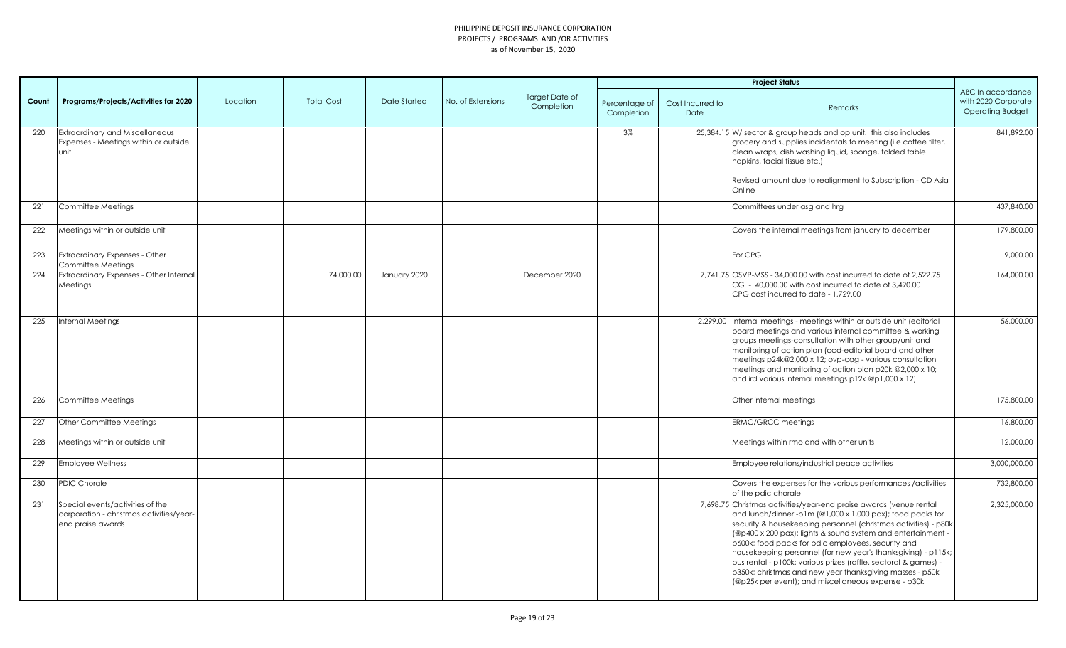|       |                                                                                                   |          |                   |              |                   |                              |                             |                          | <b>Project Status</b>                                                                                                                                                                                                                                                                                                                                                                                                                                                                                                                                                           |                                                                     |
|-------|---------------------------------------------------------------------------------------------------|----------|-------------------|--------------|-------------------|------------------------------|-----------------------------|--------------------------|---------------------------------------------------------------------------------------------------------------------------------------------------------------------------------------------------------------------------------------------------------------------------------------------------------------------------------------------------------------------------------------------------------------------------------------------------------------------------------------------------------------------------------------------------------------------------------|---------------------------------------------------------------------|
| Count | Programs/Projects/Activities for 2020                                                             | Location | <b>Total Cost</b> | Date Started | No. of Extensions | Target Date of<br>Completion | Percentage of<br>Completion | Cost Incurred to<br>Date | Remarks                                                                                                                                                                                                                                                                                                                                                                                                                                                                                                                                                                         | ABC In accordance<br>with 2020 Corporate<br><b>Operating Budget</b> |
| 220   | Extraordinary and Miscellaneous<br>Expenses - Meetings within or outside<br>unit                  |          |                   |              |                   |                              | $3\%$                       |                          | 25,384.15 W/ sector & group heads and op unit. this also includes<br>grocery and supplies incidentals to meeting (i.e coffee filter,<br>clean wraps, dish washing liquid, sponge, folded table<br>napkins, facial tissue etc.)<br>Revised amount due to realignment to Subscription - CD Asia<br>Online                                                                                                                                                                                                                                                                         | 841,892.00                                                          |
| 221   | Committee Meetings                                                                                |          |                   |              |                   |                              |                             |                          | Committees under asg and hrg                                                                                                                                                                                                                                                                                                                                                                                                                                                                                                                                                    | 437,840.00                                                          |
| 222   | Meetings within or outside unit                                                                   |          |                   |              |                   |                              |                             |                          | Covers the internal meetings from january to december                                                                                                                                                                                                                                                                                                                                                                                                                                                                                                                           | 179,800.00                                                          |
| 223   | Extraordinary Expenses - Other<br>Committee Meetings                                              |          |                   |              |                   |                              |                             |                          | For CPG                                                                                                                                                                                                                                                                                                                                                                                                                                                                                                                                                                         | 9,000.00                                                            |
| 224   | Extraordinary Expenses - Other Internal<br>Meetings                                               |          | 74,000.00         | January 2020 |                   | December 2020                |                             |                          | 7,741.75 OSVP-MSS - 34,000.00 with cost incurred to date of 2,522.75<br>CG - 40,000.00 with cost incurred to date of 3,490.00<br>CPG cost incurred to date - 1,729.00                                                                                                                                                                                                                                                                                                                                                                                                           | 164,000.00                                                          |
| 225   | Internal Meetings                                                                                 |          |                   |              |                   |                              |                             |                          | 2,299.00 Internal meetings - meetings within or outside unit (editorial<br>board meetings and various internal committee & working<br>groups meetings-consultation with other group/unit and<br>monitoring of action plan (ccd-editorial board and other<br>meetings p24k@2,000 x 12; ovp-cag - various consultation<br>meetings and monitoring of action plan p20k @2,000 x 10;<br>and ird various internal meetings p12k @p1,000 x 12)                                                                                                                                        | 56,000.00                                                           |
| 226   | Committee Meetings                                                                                |          |                   |              |                   |                              |                             |                          | Other internal meetings                                                                                                                                                                                                                                                                                                                                                                                                                                                                                                                                                         | 175,800.00                                                          |
| 227   | Other Committee Meetings                                                                          |          |                   |              |                   |                              |                             |                          | <b>ERMC/GRCC meetings</b>                                                                                                                                                                                                                                                                                                                                                                                                                                                                                                                                                       | 16,800.00                                                           |
| 228   | Meetings within or outside unit                                                                   |          |                   |              |                   |                              |                             |                          | Meetings within rmo and with other units                                                                                                                                                                                                                                                                                                                                                                                                                                                                                                                                        | 12,000.00                                                           |
| 229   | <b>Employee Wellness</b>                                                                          |          |                   |              |                   |                              |                             |                          | Employee relations/industrial peace activities                                                                                                                                                                                                                                                                                                                                                                                                                                                                                                                                  | 3,000,000.00                                                        |
| 230   | <b>PDIC Chorale</b>                                                                               |          |                   |              |                   |                              |                             |                          | Covers the expenses for the various performances /activities<br>of the pdic chorale                                                                                                                                                                                                                                                                                                                                                                                                                                                                                             | 732,800.00                                                          |
| 231   | Special events/activities of the<br>corporation - christmas activities/year-<br>end praise awards |          |                   |              |                   |                              |                             |                          | 7,698.75 Christmas activities/year-end praise awards (venue rental<br>and lunch/dinner-p1m (@1,000 x 1,000 pax); food packs for<br>security & housekeeping personnel (christmas activities) - p80k<br>(@p400 x 200 pax); lights & sound system and entertainment -<br>p600k; food packs for pdic employees, security and<br>housekeeping personnel (for new year's thanksgiving) - p115k;<br>bus rental - p100k; various prizes (raffle, sectoral & games) -<br>p350k; christmas and new year thanksgiving masses - p50k<br>(@p25k per event); and miscellaneous expense - p30k | 2,325,000.00                                                        |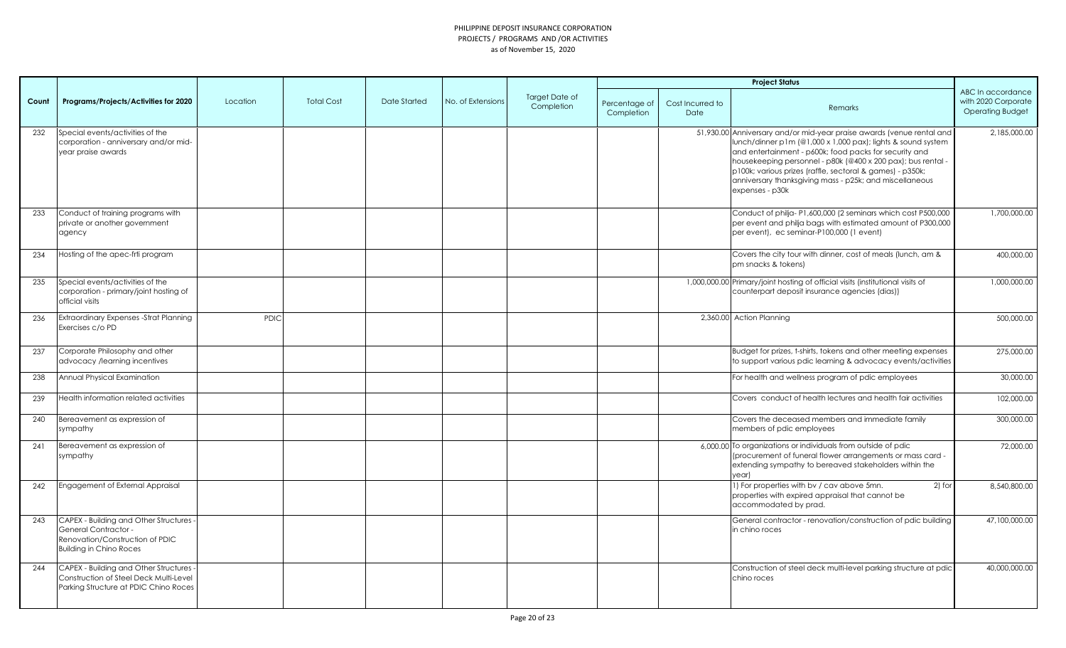|       |                                                                                                                                                    |             |                   |              |                   |                              |                             |                          | <b>Project Status</b>                                                                                                                                                                                                                                                                                                                                                                                      |                                                                     |
|-------|----------------------------------------------------------------------------------------------------------------------------------------------------|-------------|-------------------|--------------|-------------------|------------------------------|-----------------------------|--------------------------|------------------------------------------------------------------------------------------------------------------------------------------------------------------------------------------------------------------------------------------------------------------------------------------------------------------------------------------------------------------------------------------------------------|---------------------------------------------------------------------|
| Count | Programs/Projects/Activities for 2020                                                                                                              | Location    | <b>Total Cost</b> | Date Started | No. of Extensions | Target Date of<br>Completion | Percentage of<br>Completion | Cost Incurred to<br>Date | Remarks                                                                                                                                                                                                                                                                                                                                                                                                    | ABC In accordance<br>with 2020 Corporate<br><b>Operating Budget</b> |
| 232   | Special events/activities of the<br>corporation - anniversary and/or mid-<br>year praise awards                                                    |             |                   |              |                   |                              |                             |                          | 51,930.00 Anniversary and/or mid-year praise awards (venue rental and<br>lunch/dinner p1m (@1,000 x 1,000 pax); lights & sound system<br>and entertainment - p600k; food packs for security and<br>housekeeping personnel - p80k (@400 x 200 pax); bus rental -<br>p100k; various prizes (raffle, sectoral & games) - p350k;<br>anniversary thanksgiving mass - p25k; and miscellaneous<br>expenses - p30k | 2,185,000.00                                                        |
| 233   | Conduct of training programs with<br>private or another government<br>agency                                                                       |             |                   |              |                   |                              |                             |                          | Conduct of philja-P1,600,000 (2 seminars which cost P500,000<br>per event and philja bags with estimated amount of P300,000<br>per event), ec seminar-P100,000 (1 event)                                                                                                                                                                                                                                   | 1,700,000.00                                                        |
| 234   | Hosting of the apec-frti program                                                                                                                   |             |                   |              |                   |                              |                             |                          | Covers the city tour with dinner, cost of meals (lunch, am &<br>pm snacks & tokens)                                                                                                                                                                                                                                                                                                                        | 400,000.00                                                          |
| 235   | Special events/activities of the<br>corporation - primary/joint hosting of<br>official visits                                                      |             |                   |              |                   |                              |                             |                          | 1,000,000.00 Primary/joint hosting of official visits (institutional visits of<br>counterpart deposit insurance agencies (dias))                                                                                                                                                                                                                                                                           | 1,000,000.00                                                        |
| 236   | Extraordinary Expenses - Strat Planning<br>Exercises c/o PD                                                                                        | <b>PDIC</b> |                   |              |                   |                              |                             |                          | 2,360.00 Action Planning                                                                                                                                                                                                                                                                                                                                                                                   | 500,000.00                                                          |
| 237   | Corporate Philosophy and other<br>advocacy /learning incentives                                                                                    |             |                   |              |                   |                              |                             |                          | Budget for prizes, t-shirts, tokens and other meeting expenses<br>to support various pdic learning & advocacy events/activities                                                                                                                                                                                                                                                                            | 275,000.00                                                          |
| 238   | Annual Physical Examination                                                                                                                        |             |                   |              |                   |                              |                             |                          | For health and wellness program of pdic employees                                                                                                                                                                                                                                                                                                                                                          | 30,000.00                                                           |
| 239   | Health information related activities                                                                                                              |             |                   |              |                   |                              |                             |                          | Covers conduct of health lectures and health fair activities                                                                                                                                                                                                                                                                                                                                               | 102,000.00                                                          |
| 240   | Bereavement as expression of<br>sympathy                                                                                                           |             |                   |              |                   |                              |                             |                          | Covers the deceased members and immediate family<br>members of pdic employees                                                                                                                                                                                                                                                                                                                              | 300,000.00                                                          |
| 241   | Bereavement as expression of<br>sympathy                                                                                                           |             |                   |              |                   |                              |                             |                          | 6,000.00 To organizations or individuals from outside of pdic<br>(procurement of funeral flower arrangements or mass card -<br>extending sympathy to bereaved stakeholders within the<br>year)                                                                                                                                                                                                             | 72,000.00                                                           |
| 242   | Engagement of External Appraisal                                                                                                                   |             |                   |              |                   |                              |                             |                          | 1) For properties with by / cav above 5mn.<br>2) for<br>properties with expired appraisal that cannot be<br>accommodated by prad.                                                                                                                                                                                                                                                                          | 8,540,800.00                                                        |
| 243   | <b>CAPEX - Building and Other Structures -</b><br><b>General Contractor -</b><br>Renovation/Construction of PDIC<br><b>Building in Chino Roces</b> |             |                   |              |                   |                              |                             |                          | General contractor - renovation/construction of pdic building<br>in chino roces                                                                                                                                                                                                                                                                                                                            | 47,100,000.00                                                       |
| 244   | CAPEX - Building and Other Structures -<br>Construction of Steel Deck Multi-Level<br>Parking Structure at PDIC Chino Roces                         |             |                   |              |                   |                              |                             |                          | Construction of steel deck multi-level parking structure at pdic<br>chino roces                                                                                                                                                                                                                                                                                                                            | 40,000,000.00                                                       |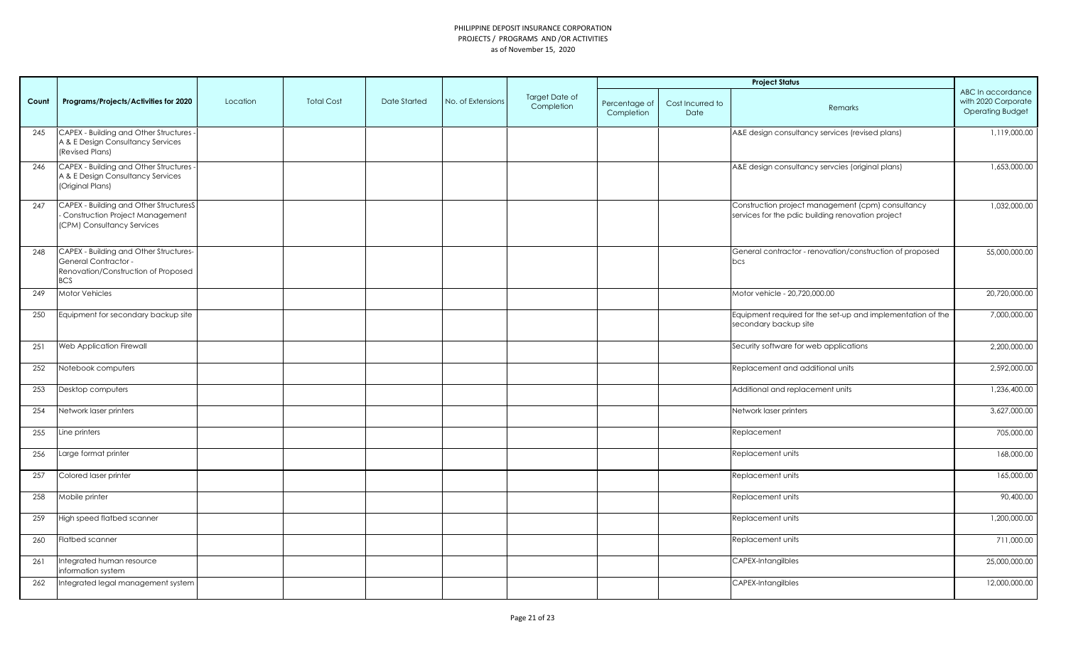|       |                                                                                                                            |          |                   |              |                   |                              |                             |                          | <b>Project Status</b>                                                                                  |                                                                     |
|-------|----------------------------------------------------------------------------------------------------------------------------|----------|-------------------|--------------|-------------------|------------------------------|-----------------------------|--------------------------|--------------------------------------------------------------------------------------------------------|---------------------------------------------------------------------|
| Count | Programs/Projects/Activities for 2020                                                                                      | Location | <b>Total Cost</b> | Date Started | No. of Extensions | Target Date of<br>Completion | Percentage of<br>Completion | Cost Incurred to<br>Date | Remarks                                                                                                | ABC In accordance<br>with 2020 Corporate<br><b>Operating Budget</b> |
| 245   | CAPEX - Building and Other Structures -<br>A & E Design Consultancy Services<br>(Revised Plans)                            |          |                   |              |                   |                              |                             |                          | A&E design consultancy services (revised plans)                                                        | 1,119,000.00                                                        |
| 246   | CAPEX - Building and Other Structures -<br>A & E Design Consultancy Services<br>(Original Plans)                           |          |                   |              |                   |                              |                             |                          | A&E design consultancy servcies (original plans)                                                       | 1,653,000.00                                                        |
| 247   | CAPEX - Building and Other StructuresS<br>- Construction Project Management<br>(CPM) Consultancy Services                  |          |                   |              |                   |                              |                             |                          | Construction project management (cpm) consultancy<br>services for the pdic building renovation project | 1,032,000.00                                                        |
| 248   | CAPEX - Building and Other Structures-<br><b>General Contractor -</b><br>Renovation/Construction of Proposed<br><b>BCS</b> |          |                   |              |                   |                              |                             |                          | General contractor - renovation/construction of proposed<br>bcs                                        | 55,000,000.00                                                       |
| 249   | Motor Vehicles                                                                                                             |          |                   |              |                   |                              |                             |                          | Motor vehicle - 20,720,000.00                                                                          | 20,720,000.00                                                       |
| 250   | Equipment for secondary backup site                                                                                        |          |                   |              |                   |                              |                             |                          | Equipment required for the set-up and implementation of the<br>secondary backup site                   | 7,000,000.00                                                        |
| 251   | Web Application Firewall                                                                                                   |          |                   |              |                   |                              |                             |                          | Security software for web applications                                                                 | 2,200,000.00                                                        |
| 252   | Notebook computers                                                                                                         |          |                   |              |                   |                              |                             |                          | Replacement and additional units                                                                       | 2,592,000.00                                                        |
| 253   | Desktop computers                                                                                                          |          |                   |              |                   |                              |                             |                          | Additional and replacement units                                                                       | 1,236,400.00                                                        |
| 254   | Network laser printers                                                                                                     |          |                   |              |                   |                              |                             |                          | Network laser printers                                                                                 | 3,627,000.00                                                        |
| 255   | Line printers                                                                                                              |          |                   |              |                   |                              |                             |                          | Replacement                                                                                            | 705,000.00                                                          |
| 256   | Large format printer                                                                                                       |          |                   |              |                   |                              |                             |                          | Replacement units                                                                                      | 168,000.00                                                          |
| 257   | Colored laser printer                                                                                                      |          |                   |              |                   |                              |                             |                          | Replacement units                                                                                      | 165,000.00                                                          |
| 258   | Mobile printer                                                                                                             |          |                   |              |                   |                              |                             |                          | Replacement units                                                                                      | 90,400.00                                                           |
| 259   | High speed flatbed scanner                                                                                                 |          |                   |              |                   |                              |                             |                          | Replacement units                                                                                      | 1,200,000.00                                                        |
| 260   | Flatbed scanner                                                                                                            |          |                   |              |                   |                              |                             |                          | Replacement units                                                                                      | 711,000.00                                                          |
| 261   | Integrated human resource<br>information system                                                                            |          |                   |              |                   |                              |                             |                          | CAPEX-Intangilbles                                                                                     | 25,000,000.00                                                       |
| 262   | Integrated legal management system                                                                                         |          |                   |              |                   |                              |                             |                          | CAPEX-Intangilbles                                                                                     | 12,000,000.00                                                       |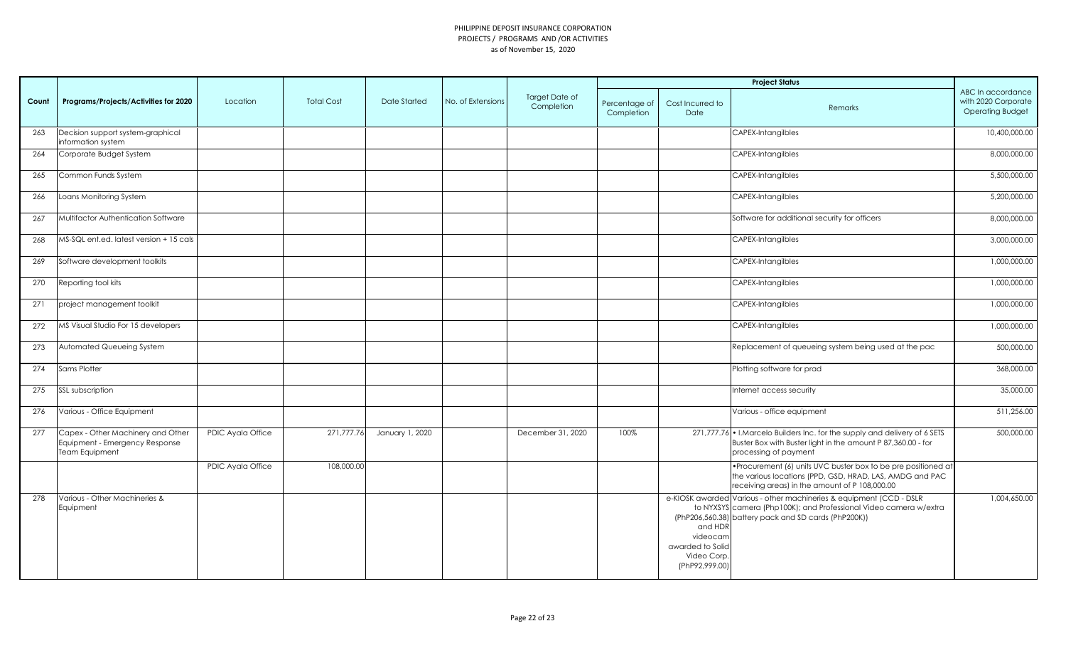|       |                                                                                       |                   |                   |                 |                   |                              |                             |                                                                         | <b>Project Status</b>                                                                                                                                                                            |                                                                     |
|-------|---------------------------------------------------------------------------------------|-------------------|-------------------|-----------------|-------------------|------------------------------|-----------------------------|-------------------------------------------------------------------------|--------------------------------------------------------------------------------------------------------------------------------------------------------------------------------------------------|---------------------------------------------------------------------|
| Count | Programs/Projects/Activities for 2020                                                 | Location          | <b>Total Cost</b> | Date Started    | No. of Extensions | Target Date of<br>Completion | Percentage of<br>Completion | Cost Incurred to<br>Date                                                | Remarks                                                                                                                                                                                          | ABC In accordance<br>with 2020 Corporate<br><b>Operating Budget</b> |
| 263   | Decision support system-graphical<br>information system                               |                   |                   |                 |                   |                              |                             |                                                                         | <b>CAPEX-Intangilbles</b>                                                                                                                                                                        | 10,400,000.00                                                       |
| 264   | Corporate Budget System                                                               |                   |                   |                 |                   |                              |                             |                                                                         | <b>CAPEX-Intangilbles</b>                                                                                                                                                                        | 8,000,000.00                                                        |
| 265   | Common Funds System                                                                   |                   |                   |                 |                   |                              |                             |                                                                         | CAPEX-Intangilbles                                                                                                                                                                               | 5,500,000.00                                                        |
| 266   | Loans Monitoring System                                                               |                   |                   |                 |                   |                              |                             |                                                                         | CAPEX-Intangilbles                                                                                                                                                                               | 5,200,000.00                                                        |
| 267   | Multifactor Authentication Software                                                   |                   |                   |                 |                   |                              |                             |                                                                         | Software for additional security for officers                                                                                                                                                    | 8,000,000.00                                                        |
| 268   | MS-SQL ent.ed. latest version + 15 cals                                               |                   |                   |                 |                   |                              |                             |                                                                         | <b>CAPEX-Intangilbles</b>                                                                                                                                                                        | 3,000,000.00                                                        |
| 269   | Software development toolkits                                                         |                   |                   |                 |                   |                              |                             |                                                                         | <b>CAPEX-Intangilbles</b>                                                                                                                                                                        | 1,000,000.00                                                        |
| 270   | Reporting tool kits                                                                   |                   |                   |                 |                   |                              |                             |                                                                         | CAPEX-Intangilbles                                                                                                                                                                               | 1,000,000.00                                                        |
| 271   | project management toolkit                                                            |                   |                   |                 |                   |                              |                             |                                                                         | CAPEX-Intangilbles                                                                                                                                                                               | 1,000,000.00                                                        |
| 272   | MS Visual Studio For 15 developers                                                    |                   |                   |                 |                   |                              |                             |                                                                         | CAPEX-Intangilbles                                                                                                                                                                               | 1,000,000.00                                                        |
| 273   | Automated Queueing System                                                             |                   |                   |                 |                   |                              |                             |                                                                         | Replacement of queueing system being used at the pac                                                                                                                                             | 500,000.00                                                          |
| 274   | Sams Plotter                                                                          |                   |                   |                 |                   |                              |                             |                                                                         | Plotting software for prad                                                                                                                                                                       | 368,000.00                                                          |
| 275   | SSL subscription                                                                      |                   |                   |                 |                   |                              |                             |                                                                         | Internet access security                                                                                                                                                                         | 35,000.00                                                           |
| 276   | Various - Office Equipment                                                            |                   |                   |                 |                   |                              |                             |                                                                         | Various - office equipment                                                                                                                                                                       | 511,256.00                                                          |
| 277   | Capex - Other Machinery and Other<br>Equipment - Emergency Response<br>Team Equipment | PDIC Ayala Office | 271,777.76        | January 1, 2020 |                   | December 31, 2020            | 100%                        |                                                                         | 271,777.76 • I.Marcelo Builders Inc. for the supply and delivery of 6 SETS<br>Buster Box with Buster light in the amount P 87,360.00 - for<br>processing of payment                              | 500,000.00                                                          |
|       |                                                                                       | PDIC Ayala Office | 108,000.00        |                 |                   |                              |                             |                                                                         | • Procurement (6) units UVC buster box to be pre positioned at<br>the various locations (PPD, GSD, HRAD, LAS, AMDG and PAC<br>receiving areas) in the amount of P 108,000.00                     |                                                                     |
| 278   | Various - Other Machineries &<br>Equipment                                            |                   |                   |                 |                   |                              |                             | and HDR<br>videocam<br>awarded to Solid<br>Video Corp<br>(PhP92,999.00) | e-KIOSK awarded Various - other machineries & equipment (CCD - DSLR<br>to NYXSYS camera (Php100K); and Professional Video camera w/extra<br>(PhP206,560.38) battery pack and SD cards (PhP200K)) | 1,004,650.00                                                        |